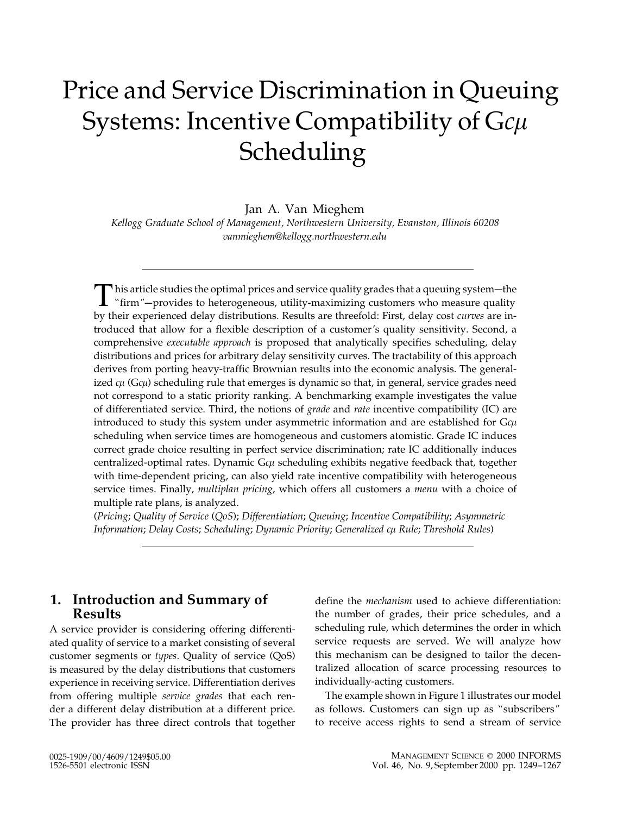# Price and Service Discrimination in Queuing Systems: Incentive Compatibility of G $c\mu$ Scheduling

Jan A. Van Mieghem

Kellogg Graduate School of Management, Northwestern University, Evanston, Illinois 60208 vanmieghem@kellogg.northwestern.edu

This article studies the optimal prices and service quality grades that a queuing system—the "firm"—provides to heterogeneous, utility-maximizing customers who measure quality by their experienced delay distributions. Results are threefold: First, delay cost curves are introduced that allow for a flexible description of a customer's quality sensitivity. Second, a comprehensive executable approach is proposed that analytically specifies scheduling, delay distributions and prices for arbitrary delay sensitivity curves. The tractability of this approach derives from porting heavy-traffic Brownian results into the economic analysis. The generalized  $c\mu$  (G $c\mu$ ) scheduling rule that emerges is dynamic so that, in general, service grades need not correspond to a static priority ranking. A benchmarking example investigates the value of differentiated service. Third, the notions of grade and rate incentive compatibility (IC) are introduced to study this system under asymmetric information and are established for G $c\mu$ scheduling when service times are homogeneous and customers atomistic. Grade IC induces correct grade choice resulting in perfect service discrimination; rate IC additionally induces centralized-optimal rates. Dynamic G $c\mu$  scheduling exhibits negative feedback that, together with time-dependent pricing, can also yield rate incentive compatibility with heterogeneous service times. Finally, multiplan pricing, which offers all customers a menu with a choice of multiple rate plans, is analyzed.

(Pricing; Quality of Service (QoS); Differentiation; Queuing; Incentive Compatibility; Asymmetric Information; Delay Costs; Scheduling; Dynamic Priority; Generalized cµ Rule; Threshold Rules)

## 1. Introduction and Summary of Results

A service provider is considering offering differentiated quality of service to a market consisting of several customer segments or types. Quality of service (QoS) is measured by the delay distributions that customers experience in receiving service. Differentiation derives from offering multiple service grades that each render a different delay distribution at a different price. The provider has three direct controls that together define the mechanism used to achieve differentiation: the number of grades, their price schedules, and a scheduling rule, which determines the order in which service requests are served. We will analyze how this mechanism can be designed to tailor the decentralized allocation of scarce processing resources to individually-acting customers.

The example shown in Figure 1 illustrates our model as follows. Customers can sign up as ''subscribers" to receive access rights to send a stream of service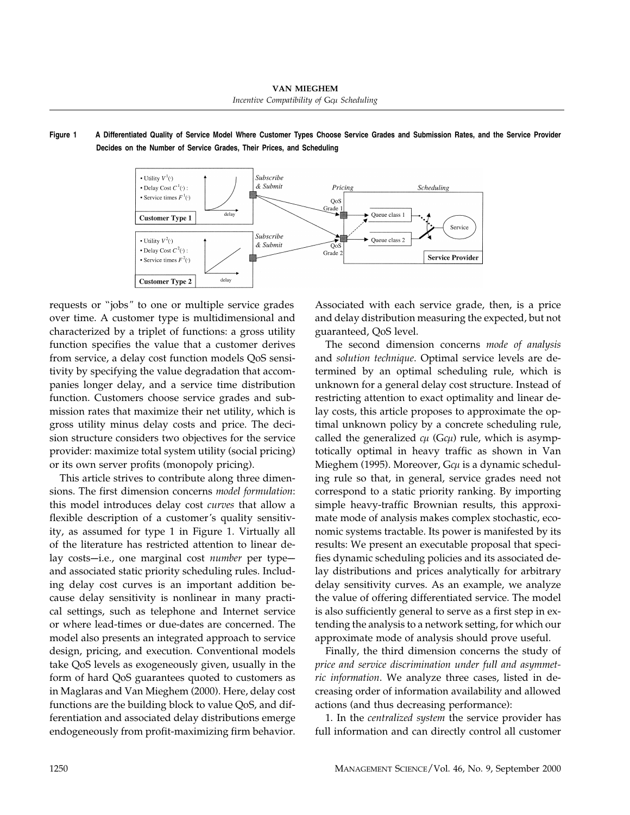### Figure 1 A Differentiated Quality of Service Model Where Customer Types Choose Service Grades and Submission Rates, and the Service Provider Decides on the Number of Service Grades, Their Prices, and Scheduling



requests or ''jobs" to one or multiple service grades over time. A customer type is multidimensional and characterized by a triplet of functions: a gross utility function specifies the value that a customer derives from service, a delay cost function models QoS sensitivity by specifying the value degradation that accompanies longer delay, and a service time distribution function. Customers choose service grades and submission rates that maximize their net utility, which is gross utility minus delay costs and price. The decision structure considers two objectives for the service provider: maximize total system utility (social pricing) or its own server profits (monopoly pricing).

This article strives to contribute along three dimensions. The first dimension concerns model formulation: this model introduces delay cost curves that allow a flexible description of a customer's quality sensitivity, as assumed for type 1 in Figure 1. Virtually all of the literature has restricted attention to linear delay costs-i.e., one marginal cost number per typeand associated static priority scheduling rules. Including delay cost curves is an important addition because delay sensitivity is nonlinear in many practical settings, such as telephone and Internet service or where lead-times or due-dates are concerned. The model also presents an integrated approach to service design, pricing, and execution. Conventional models take QoS levels as exogeneously given, usually in the form of hard QoS guarantees quoted to customers as in Maglaras and Van Mieghem (2000). Here, delay cost functions are the building block to value QoS, and differentiation and associated delay distributions emerge endogeneously from profit-maximizing firm behavior. Associated with each service grade, then, is a price and delay distribution measuring the expected, but not guaranteed, QoS level.

The second dimension concerns mode of analysis and solution technique. Optimal service levels are determined by an optimal scheduling rule, which is unknown for a general delay cost structure. Instead of restricting attention to exact optimality and linear delay costs, this article proposes to approximate the optimal unknown policy by a concrete scheduling rule, called the generalized  $c\mu$  (G $c\mu$ ) rule, which is asymptotically optimal in heavy traffic as shown in Van Mieghem (1995). Moreover, G $c\mu$  is a dynamic scheduling rule so that, in general, service grades need not correspond to a static priority ranking. By importing simple heavy-traffic Brownian results, this approximate mode of analysis makes complex stochastic, economic systems tractable. Its power is manifested by its results: We present an executable proposal that specifies dynamic scheduling policies and its associated delay distributions and prices analytically for arbitrary delay sensitivity curves. As an example, we analyze the value of offering differentiated service. The model is also sufficiently general to serve as a first step in extending the analysis to a network setting, for which our approximate mode of analysis should prove useful.

Finally, the third dimension concerns the study of price and service discrimination under full and asymmetric information. We analyze three cases, listed in decreasing order of information availability and allowed actions (and thus decreasing performance):

1. In the centralized system the service provider has full information and can directly control all customer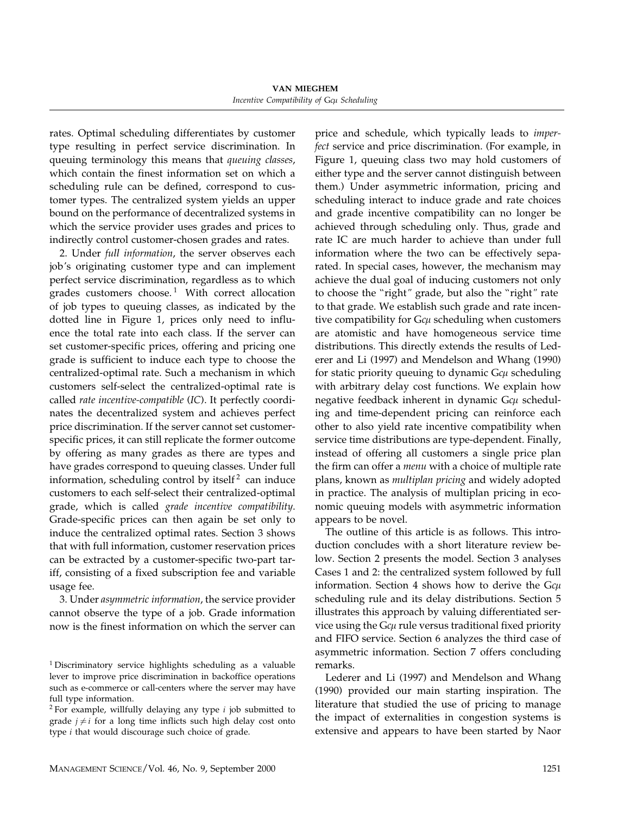rates. Optimal scheduling differentiates by customer type resulting in perfect service discrimination. In queuing terminology this means that queuing classes, which contain the finest information set on which a scheduling rule can be defined, correspond to customer types. The centralized system yields an upper bound on the performance of decentralized systems in which the service provider uses grades and prices to indirectly control customer-chosen grades and rates.

2. Under full information, the server observes each job's originating customer type and can implement perfect service discrimination, regardless as to which grades customers choose.<sup>1</sup> With correct allocation of job types to queuing classes, as indicated by the dotted line in Figure 1, prices only need to influence the total rate into each class. If the server can set customer-specific prices, offering and pricing one grade is sufficient to induce each type to choose the centralized-optimal rate. Such a mechanism in which customers self-select the centralized-optimal rate is called rate incentive-compatible (IC). It perfectly coordinates the decentralized system and achieves perfect price discrimination. If the server cannot set customerspecific prices, it can still replicate the former outcome by offering as many grades as there are types and have grades correspond to queuing classes. Under full information, scheduling control by itself<sup>2</sup> can induce customers to each self-select their centralized-optimal grade, which is called grade incentive compatibility. Grade-specific prices can then again be set only to induce the centralized optimal rates. Section 3 shows that with full information, customer reservation prices can be extracted by a customer-specific two-part tariff, consisting of a fixed subscription fee and variable usage fee.

3. Under asymmetric information, the service provider cannot observe the type of a job. Grade information now is the finest information on which the server can price and schedule, which typically leads to imperfect service and price discrimination. (For example, in Figure 1, queuing class two may hold customers of either type and the server cannot distinguish between them.) Under asymmetric information, pricing and scheduling interact to induce grade and rate choices and grade incentive compatibility can no longer be achieved through scheduling only. Thus, grade and rate IC are much harder to achieve than under full information where the two can be effectively separated. In special cases, however, the mechanism may achieve the dual goal of inducing customers not only to choose the "right" grade, but also the "right" rate to that grade. We establish such grade and rate incentive compatibility for  $G\epsilon\mu$  scheduling when customers are atomistic and have homogeneous service time distributions. This directly extends the results of Lederer and Li (1997) and Mendelson and Whang (1990) for static priority queuing to dynamic  $G\epsilon\mu$  scheduling with arbitrary delay cost functions. We explain how negative feedback inherent in dynamic G $c\mu$  scheduling and time-dependent pricing can reinforce each other to also yield rate incentive compatibility when service time distributions are type-dependent. Finally, instead of offering all customers a single price plan the firm can offer a *menu* with a choice of multiple rate plans, known as multiplan pricing and widely adopted in practice. The analysis of multiplan pricing in economic queuing models with asymmetric information appears to be novel.

The outline of this article is as follows. This introduction concludes with a short literature review below. Section 2 presents the model. Section 3 analyses Cases 1 and 2: the centralized system followed by full information. Section 4 shows how to derive the  $Gc\mu$ scheduling rule and its delay distributions. Section 5 illustrates this approach by valuing differentiated service using the G $c\mu$  rule versus traditional fixed priority and FIFO service. Section 6 analyzes the third case of asymmetric information. Section 7 offers concluding remarks.

Lederer and Li (1997) and Mendelson and Whang (1990) provided our main starting inspiration. The literature that studied the use of pricing to manage the impact of externalities in congestion systems is extensive and appears to have been started by Naor

<sup>1</sup> Discriminatory service highlights scheduling as a valuable lever to improve price discrimination in backoffice operations such as e-commerce or call-centers where the server may have full type information.

 $2$  For example, willfully delaying any type  $i$  job submitted to grade  $j \neq i$  for a long time inflicts such high delay cost onto type i that would discourage such choice of grade.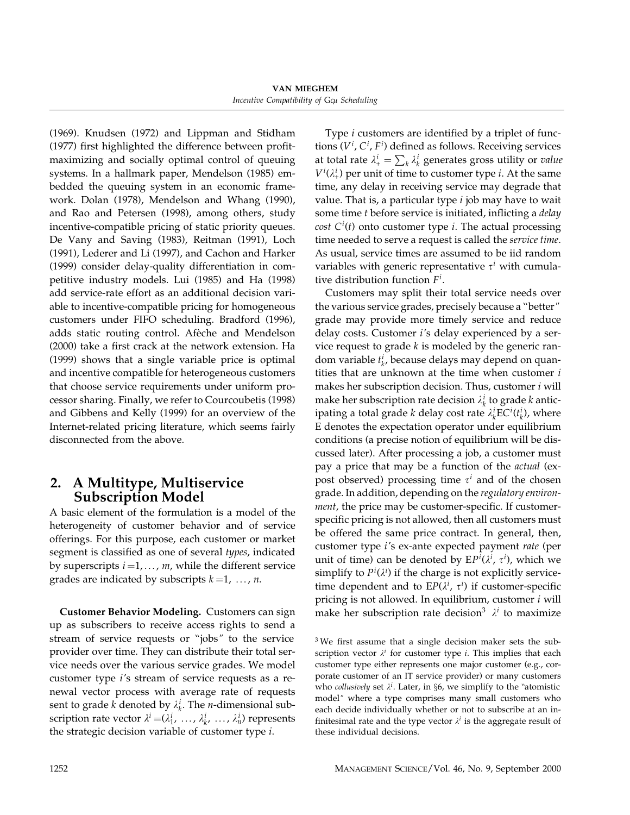VAN MIEGHEM Incentive Compatibility of Gcµ Scheduling

(1969). Knudsen (1972) and Lippman and Stidham (1977) first highlighted the difference between profitmaximizing and socially optimal control of queuing systems. In a hallmark paper, Mendelson (1985) embedded the queuing system in an economic framework. Dolan (1978), Mendelson and Whang (1990), and Rao and Petersen (1998), among others, study incentive-compatible pricing of static priority queues. De Vany and Saving (1983), Reitman (1991), Loch (1991), Lederer and Li (1997), and Cachon and Harker (1999) consider delay-quality differentiation in competitive industry models. Lui (1985) and Ha (1998) add service-rate effort as an additional decision variable to incentive-compatible pricing for homogeneous customers under FIFO scheduling. Bradford (1996), adds static routing control. Afeche and Mendelson (2000) take a first crack at the network extension. Ha (1999) shows that a single variable price is optimal and incentive compatible for heterogeneous customers that choose service requirements under uniform processor sharing. Finally, we refer to Courcoubetis (1998) and Gibbens and Kelly (1999) for an overview of the Internet-related pricing literature, which seems fairly disconnected from the above.

## 2. A Multitype, Multiservice Subscription Model

A basic element of the formulation is a model of the heterogeneity of customer behavior and of service offerings. For this purpose, each customer or market segment is classified as one of several types, indicated by superscripts  $i = 1, \ldots, m$ , while the different service grades are indicated by subscripts  $k = 1, \ldots, n$ .

Customer Behavior Modeling. Customers can sign up as subscribers to receive access rights to send a stream of service requests or ''jobs" to the service provider over time. They can distribute their total service needs over the various service grades. We model customer type i's stream of service requests as a renewal vector process with average rate of requests sent to grade *k* denoted by  $\lambda_k^i$ . The *n*-dimensional subscription rate vector  $\lambda^i = (\lambda_1^i, \ldots, \lambda_k^i, \ldots, \lambda_n^i)$  represents the strategic decision variable of customer type i.

Type i customers are identified by a triplet of functions  $(V^i, C^i, F^i)$  defined as follows. Receiving services at total rate  $\lambda^i_+ = \sum_k \lambda^i_k$  generates gross utility or value  $V^i(\lambda^i_+)$  per unit of time to customer type *i*. At the same time, any delay in receiving service may degrade that value. That is, a particular type  $i$  job may have to wait some time t before service is initiated, inflicting a delay *cost*  $C^{i}(t)$  onto customer type *i*. The actual processing time needed to serve a request is called the service time. As usual, service times are assumed to be iid random variables with generic representative  $\tau^i$  with cumulative distribution function  $F^i$ .

Customers may split their total service needs over the various service grades, precisely because a ''better" grade may provide more timely service and reduce delay costs. Customer i's delay experienced by a service request to grade  $k$  is modeled by the generic random variable  $t_k^i$ , because delays may depend on quantities that are unknown at the time when customer  $i$ makes her subscription decision. Thus, customer  $i$  will make her subscription rate decision  $\lambda_k^i$  to grade k anticipating a total grade  $k$  delay cost rate  $\lambda_k^i$ EC ${}^{i}(t_k^i)$ , where E denotes the expectation operator under equilibrium conditions (a precise notion of equilibrium will be discussed later). After processing a job, a customer must pay a price that may be a function of the actual (expost observed) processing time  $\tau^{i}$  and of the chosen grade. In addition, depending on the regulatory environ*ment*, the price may be customer-specific. If customerspecific pricing is not allowed, then all customers must be offered the same price contract. In general, then, customer type i's ex-ante expected payment rate (per unit of time) can be denoted by  $EP<sup>i</sup>(\lambda<sup>i</sup>, \tau<sup>i</sup>)$ , which we simplify to  $P^i(\lambda^i)$  if the charge is not explicitly servicetime dependent and to  $EP(\lambda^i, \tau^i)$  if customer-specific pricing is not allowed. In equilibrium, customer  $i$  will make her subscription rate decision<sup>3</sup>  $\lambda^{i}$  to maximize

<sup>3</sup> We first assume that a single decision maker sets the subscription vector  $\lambda^i$  for customer type *i*. This implies that each customer type either represents one major customer (e.g., corporate customer of an IT service provider) or many customers who *collusively* set  $\lambda^i$ . Later, in §6, we simplify to the "atomistic model" where a type comprises many small customers who each decide individually whether or not to subscribe at an infinitesimal rate and the type vector  $\lambda^{i}$  is the aggregate result of these individual decisions.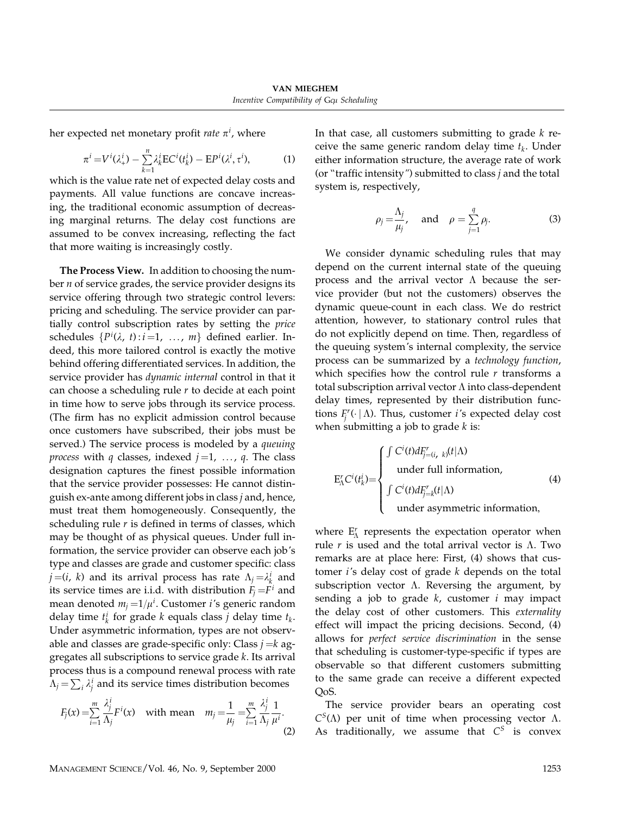her expected net monetary profit *rate*  $\pi^i$ , where

$$
\pi^i = V^i(\lambda^i_+) - \sum_{k=1}^n \lambda^i_k \mathrm{EC}^i(t^i_k) - \mathrm{EP}^i(\lambda^i, \tau^i),\tag{1}
$$

which is the value rate net of expected delay costs and payments. All value functions are concave increasing, the traditional economic assumption of decreasing marginal returns. The delay cost functions are assumed to be convex increasing, reflecting the fact that more waiting is increasingly costly.

The Process View. In addition to choosing the number  $n$  of service grades, the service provider designs its service offering through two strategic control levers: pricing and scheduling. The service provider can partially control subscription rates by setting the price schedules  $\{P^i(\lambda, t): i = 1, \ldots, m\}$  defined earlier. Indeed, this more tailored control is exactly the motive behind offering differentiated services. In addition, the service provider has dynamic internal control in that it can choose a scheduling rule  $r$  to decide at each point in time how to serve jobs through its service process. (The firm has no explicit admission control because once customers have subscribed, their jobs must be served.) The service process is modeled by a queuing *process* with q classes, indexed  $j=1, \ldots, q$ . The class designation captures the finest possible information that the service provider possesses: He cannot distinguish ex-ante among different jobs in class  $j$  and, hence, must treat them homogeneously. Consequently, the scheduling rule  $r$  is defined in terms of classes, which may be thought of as physical queues. Under full information, the service provider can observe each job's type and classes are grade and customer specific: class  $j = (i, k)$  and its arrival process has rate  $\Lambda_j = \lambda_k^i$  and its service times are i.i.d. with distribution  $F_i = F^i$  and mean denoted  $m_j = 1/\mu^i$ . Customer *i'*s generic random delay time  $t_k^i$  for grade k equals class j delay time  $t_k$ . Under asymmetric information, types are not observable and classes are grade-specific only: Class  $j = k$  aggregates all subscriptions to service grade k. Its arrival process thus is a compound renewal process with rate  $\Lambda_j = \sum_i \lambda_j^i$  and its service times distribution becomes

$$
F_j(x) = \sum_{i=1}^m \frac{\lambda_j^i}{\Lambda_j} F^i(x) \quad \text{with mean} \quad m_j = \frac{1}{\mu_j} = \sum_{i=1}^m \frac{\lambda_j^i}{\Lambda_j} \frac{1}{\mu^i}.
$$

In that case, all customers submitting to grade  $k$  receive the same generic random delay time  $t_k$ . Under either information structure, the average rate of work (or "traffic intensity") submitted to class  $j$  and the total system is, respectively,

$$
\rho_j = \frac{\Lambda_j}{\mu_j}, \quad \text{and} \quad \rho = \sum_{j=1}^q \rho_j. \tag{3}
$$

We consider dynamic scheduling rules that may depend on the current internal state of the queuing process and the arrival vector  $\Lambda$  because the service provider (but not the customers) observes the dynamic queue-count in each class. We do restrict attention, however, to stationary control rules that do not explicitly depend on time. Then, regardless of the queuing system's internal complexity, the service process can be summarized by a technology function, which specifies how the control rule  $r$  transforms a total subscription arrival vector  $\Lambda$  into class-dependent delay times, represented by their distribution functions  $F_j^r(\cdot | \Lambda)$ . Thus, customer *i*'s expected delay cost when submitting a job to grade  $k$  is:

$$
E_{\Lambda}^{r} C^{i}(t_{k}^{i}) = \begin{cases} \int C^{i}(t) dF_{j=(i, k)}^{r}(t|\Lambda) \\ \text{under full information,} \\ \int C^{i}(t) dF_{j=k}^{r}(t|\Lambda) \\ \text{under asymmetric information,} \end{cases}
$$
 (4)

where  $E'_{\Lambda}$  represents the expectation operator when rule r is used and the total arrival vector is  $\Lambda$ . Two remarks are at place here: First, (4) shows that customer  $i$ 's delay cost of grade  $k$  depends on the total subscription vector  $\Lambda$ . Reversing the argument, by sending a job to grade  $k$ , customer  $i$  may impact the delay cost of other customers. This externality effect will impact the pricing decisions. Second, (4) allows for perfect service discrimination in the sense that scheduling is customer-type-specific if types are observable so that different customers submitting to the same grade can receive a different expected QoS.

The service provider bears an operating cost  $C^{S}(\Lambda)$  per unit of time when processing vector  $\Lambda$ . As traditionally, we assume that  $C^S$  is convex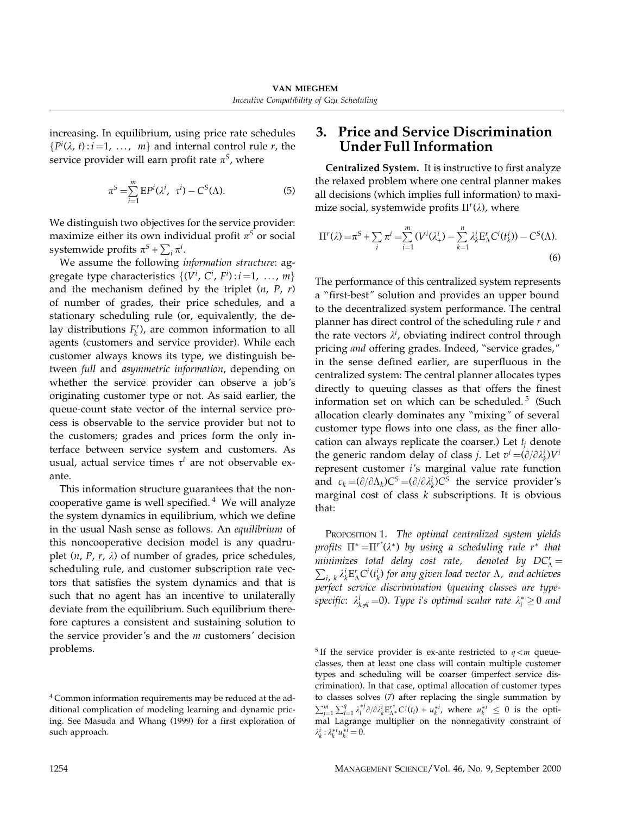increasing. In equilibrium, using price rate schedules  $\{P^i(\lambda, t) : i = 1, \ldots, m\}$  and internal control rule r, the service provider will earn profit rate  $\pi^S$ , where

$$
\pi^S = \sum_{i=1}^m \mathbf{E} P^i(\lambda^i, \tau^i) - C^S(\Lambda). \tag{5}
$$

We distinguish two objectives for the service provider: maximize either its own individual profit  $\pi^S$  or social systemwide profits  $\pi^S + \sum_i \pi^i$ .

We assume the following information structure: aggregate type characteristics  $\{(V^i, C^i, F^i) : i = 1, ..., m\}$ and the mechanism defined by the triplet  $(n, P, r)$ of number of grades, their price schedules, and a stationary scheduling rule (or, equivalently, the delay distributions  $F_k^r$ ), are common information to all agents (customers and service provider). While each customer always knows its type, we distinguish between full and asymmetric information, depending on whether the service provider can observe a job's originating customer type or not. As said earlier, the queue-count state vector of the internal service process is observable to the service provider but not to the customers; grades and prices form the only interface between service system and customers. As usual, actual service times  $\tau^i$  are not observable exante.

This information structure guarantees that the noncooperative game is well specified. $4$  We will analyze the system dynamics in equilibrium, which we define in the usual Nash sense as follows. An equilibrium of this noncooperative decision model is any quadruplet  $(n, P, r, \lambda)$  of number of grades, price schedules, scheduling rule, and customer subscription rate vectors that satisfies the system dynamics and that is such that no agent has an incentive to unilaterally deviate from the equilibrium. Such equilibrium therefore captures a consistent and sustaining solution to the service provider's and the  $m$  customers' decision problems.

## 3. Price and Service Discrimination Under Full Information

Centralized System. It is instructive to first analyze the relaxed problem where one central planner makes all decisions (which implies full information) to maximize social, systemwide profits  $\Pi^r(\lambda)$ , where

$$
\Pi^{r}(\lambda) = \pi^{S} + \sum_{i} \pi^{i} = \sum_{i=1}^{m} (V^{i}(\lambda^{i}_{+}) - \sum_{k=1}^{n} \lambda^{i}_{k} E_{\Lambda}^{r} C^{i}(t_{k}^{i})) - C^{S}(\Lambda).
$$
\n(6)

The performance of this centralized system represents a ''first-best" solution and provides an upper bound to the decentralized system performance. The central planner has direct control of the scheduling rule  $r$  and the rate vectors  $\lambda^i$ , obviating indirect control through pricing and offering grades. Indeed, "service grades," in the sense defined earlier, are superfluous in the centralized system: The central planner allocates types directly to queuing classes as that offers the finest information set on which can be scheduled.<sup>5</sup> (Such allocation clearly dominates any ''mixing" of several customer type flows into one class, as the finer allocation can always replicate the coarser.) Let  $t_i$  denote the generic random delay of class *j*. Let  $v^i = (\partial/\partial \lambda_k^i)V^i$ represent customer i's marginal value rate function and  $c_k = (\partial/\partial \Lambda_k)C^S = (\partial/\partial \lambda_k^i)C^S$  the service provider's marginal cost of class  $k$  subscriptions. It is obvious that:

PROPOSITION 1. The optimal centralized system yields profits  $\Pi^* = \Pi^{r^*}(\lambda^*)$  by using a scheduling rule  $r^*$  that minimizes total delay cost rate, denoted by  $DC^r_{\Lambda} =$  $\sum_{i, k} \lambda_k^i E_{\Lambda}^r C^i(t_k^i)$  for any given load vector  $\Lambda$ , and achieves perfect service discrimination (queuing classes are typespecific:  $\lambda_{k\neq i}^i$  =0). Type i's optimal scalar rate  $\lambda_i^*\geq 0$  and

<sup>5</sup> If the service provider is ex-ante restricted to  $q < m$  queueclasses, then at least one class will contain multiple customer types and scheduling will be coarser (imperfect service discrimination). In that case, optimal allocation of customer types to classes solves (7) after replacing the single summation by  $\sum_{j=1}^m \sum_{l=1}^q \lambda_l^{*j} \partial/\partial \lambda_k^i E_{\Lambda^*}^{*} C^j(t_l) + u_k^{*i}$ , where  $u_k^{*i} \leq 0$  is the optimal Lagrange multiplier on the nonnegativity constraint of  $\lambda_k^i : \lambda_k^{*i} u_k^{*i} = 0.$ 

<sup>4</sup> Common information requirements may be reduced at the additional complication of modeling learning and dynamic pricing. See Masuda and Whang (1999) for a first exploration of such approach.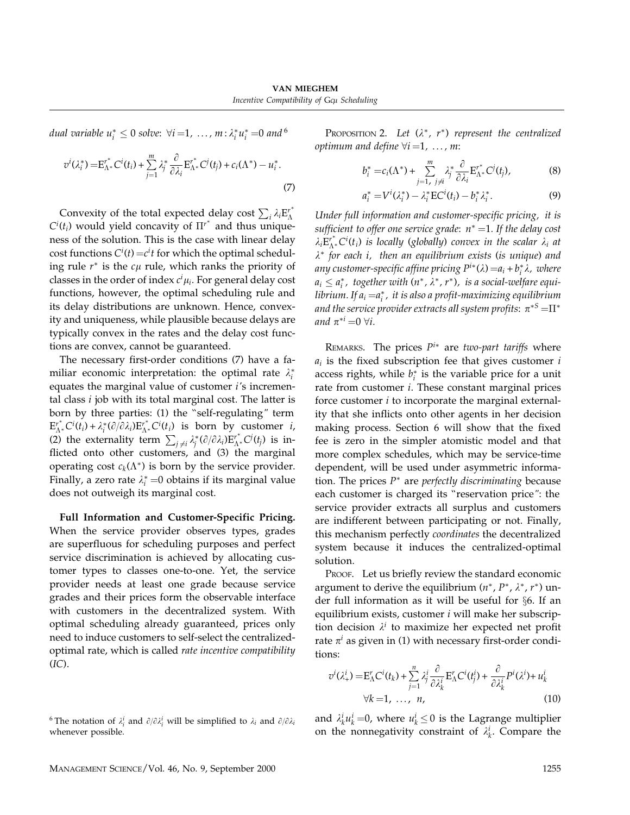dual variable  $u_i^* \leq 0$  solve:  $\forall i = 1, \dots, m$  :  $\lambda_i^* u_i^* = 0$  and  $^6$ 

$$
v^i(\lambda_i^*) = \mathbf{E}_{\Lambda^*}^{*} C^i(t_i) + \sum_{j=1}^m \lambda_j^* \frac{\partial}{\partial \lambda_i} \mathbf{E}_{\Lambda^*}^{*} C^j(t_j) + c_i(\Lambda^*) - u_i^*.
$$
\n
$$
\tag{7}
$$

Convexity of the total expected delay cost  $\sum_i \lambda_i E_{\Lambda}^{r^*}$  $C^i(t_i)$  would yield concavity of  $\overline{\Pi'}^*$  and thus uniqueness of the solution. This is the case with linear delay cost functions  $C^{i}(t) = c^{i}t$  for which the optimal scheduling rule  $r^*$  is the  $c\mu$  rule, which ranks the priority of classes in the order of index  $c^i\mu_i.$  For general delay cost functions, however, the optimal scheduling rule and its delay distributions are unknown. Hence, convexity and uniqueness, while plausible because delays are typically convex in the rates and the delay cost functions are convex, cannot be guaranteed.

The necessary first-order conditions (7) have a familiar economic interpretation: the optimal rate  $\lambda_i^*$ equates the marginal value of customer i's incremental class  $i$  job with its total marginal cost. The latter is born by three parties: (1) the ''self-regulating" term  $E_{\Lambda^*}^{r^*} C^i(t_i) + \lambda_i^* (\partial/\partial \lambda_i) E_{\Lambda^*}^{r^*} C^i(t_i)$  is born by customer *i*, (2) the externality term  $\sum_{j \neq i} \lambda_j^* (\partial/\partial \lambda_i) E_{\Lambda^*}^{r^*} C^j(t_j)$  is inflicted onto other customers, and (3) the marginal operating cost  $c_k(\Lambda^*)$  is born by the service provider. Finally, a zero rate  $\lambda_i^*$  =0 obtains if its marginal value does not outweigh its marginal cost.

Full Information and Customer-Specific Pricing. When the service provider observes types, grades are superfluous for scheduling purposes and perfect service discrimination is achieved by allocating customer types to classes one-to-one. Yet, the service provider needs at least one grade because service grades and their prices form the observable interface with customers in the decentralized system. With optimal scheduling already guaranteed, prices only need to induce customers to self-select the centralizedoptimal rate, which is called rate incentive compatibility  $(IC).$ 

PROPOSITION 2. Let  $(\lambda^*, r^*)$  represent the centralized optimum and define  $\forall i = 1, \ldots, m$ :

$$
b_i^* = c_i(\Lambda^*) + \sum_{j=1, j\neq i}^m \lambda_j^* \frac{\partial}{\partial \lambda_i} E_{\Lambda^*}^{r^*} C^j(t_j), \tag{8}
$$

$$
a_i^* = V^i(\lambda_i^*) - \lambda_i^* \mathbf{E} C^i(t_i) - b_i^* \lambda_i^*.
$$
 (9)

Under full information and customer-specific pricing, it is sufficient to offer one service grade:  $n^* = 1$ . If the delay cost  $\lambda_i E_{\Lambda^*}^{r^*} C^i(t_i)$  is locally (globally) convex in the scalar  $\lambda_i$  at  $\lambda^*$  for each i, then an equilibrium exists (is unique) and any customer-specific affine pricing  $P^{i*}(\lambda)$   $\!=$ a $_i$  +  $b_i^* \lambda$ , where  $a_i \leq a_i^*$ , together with  $(n^*, \lambda^*, r^*)$ , is a social-welfare equilibrium. If  $a_i$   $=$  $a_i^\ast$  , it is also a profit-maximizing equilibrium and the service provider extracts all system profits:  $\pi^{*S}\!=\!\Pi^*$ and  $\pi^{*i}$  = 0  $\forall i$ .

REMARKS. The prices  $P^{i*}$  are two-part tariffs where  $a_i$  is the fixed subscription fee that gives customer  $i$ access rights, while  $b_i^*$  is the variable price for a unit rate from customer *i*. These constant marginal prices force customer i to incorporate the marginal externality that she inflicts onto other agents in her decision making process. Section 6 will show that the fixed fee is zero in the simpler atomistic model and that more complex schedules, which may be service-time dependent, will be used under asymmetric information. The prices  $P^*$  are perfectly discriminating because each customer is charged its ''reservation price": the service provider extracts all surplus and customers are indifferent between participating or not. Finally, this mechanism perfectly coordinates the decentralized system because it induces the centralized-optimal solution.

PROOF. Let us briefly review the standard economic argument to derive the equilibrium  $(n^*, P^*, \lambda^*, r^*)$  under full information as it will be useful for §6. If an equilibrium exists, customer  $i$  will make her subscription decision  $\lambda^i$  to maximize her expected net profit rate  $\pi^{i}$  as given in (1) with necessary first-order conditions:

$$
v^{i}(\lambda_{+}^{i}) = \mathbf{E}_{\Lambda}^{r} C^{i}(t_{k}) + \sum_{j=1}^{n} \lambda_{j}^{i} \frac{\partial}{\partial \lambda_{k}^{i}} \mathbf{E}_{\Lambda}^{r} C^{i}(t_{j}^{i}) + \frac{\partial}{\partial \lambda_{k}^{i}} P^{i}(\lambda^{i}) + u_{k}^{i}
$$
  
\n
$$
\forall k = 1, \ldots, n,
$$
 (10)

and  $\lambda_k^i u_k^i = 0$ , where  $u_k^i \leq 0$  is the Lagrange multiplier on the nonnegativity constraint of  $\lambda_k^i$ . Compare the

<sup>&</sup>lt;sup>6</sup> The notation of  $\lambda_i^i$  and  $\partial/\partial \lambda_i^i$  will be simplified to  $\lambda_i$  and  $\partial/\partial \lambda_i$ whenever possible.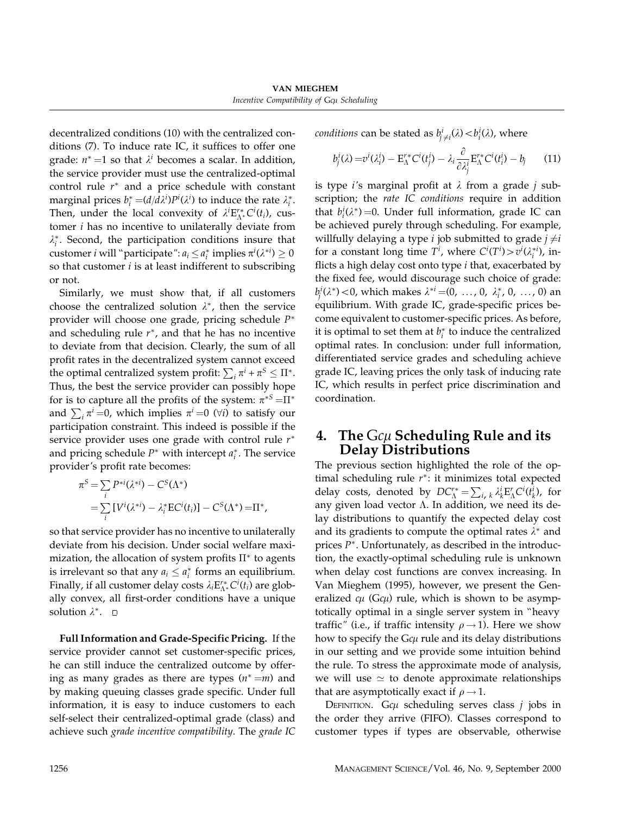VAN MIEGHEM Incentive Compatibility of Gcµ Scheduling

decentralized conditions (10) with the centralized conditions (7). To induce rate IC, it suffices to offer one grade:  $n^*$  =1 so that  $\lambda^i$  becomes a scalar. In addition, the service provider must use the centralized-optimal control rule  $r<sup>*</sup>$  and a price schedule with constant marginal prices  $b_i^* = (d/d\lambda^i)P^i(\lambda^i)$  to induce the rate  $\lambda_i^*$ . Then, under the local convexity of  $\lambda^{i} \mathbf{E}^{r*}_{\Lambda^{*}} C^{i}(t_{i})$ , customer i has no incentive to unilaterally deviate from  $\lambda_i^*$ . Second, the participation conditions insure that customer *i* will "participate":  $a_i \leq a_i^*$  implies  $\pi^i(\lambda^{*i}) \geq 0$ so that customer  $i$  is at least indifferent to subscribing or not.

Similarly, we must show that, if all customers choose the centralized solution  $\lambda^*$ , then the service provider will choose one grade, pricing schedule P<sup>∗</sup> and scheduling rule  $r^*$ , and that he has no incentive to deviate from that decision. Clearly, the sum of all profit rates in the decentralized system cannot exceed the optimal centralized system profit:  $\sum_i \pi^i + \pi^S \leq \Pi^*.$ Thus, the best the service provider can possibly hope for is to capture all the profits of the system:  $\pi^{*S} = \Pi^*$ and  $\sum_i \pi^i$  =0, which implies  $\pi^i$  =0 ( $\forall i$ ) to satisfy our participation constraint. This indeed is possible if the service provider uses one grade with control rule  $r^*$ and pricing schedule  $P^*$  with intercept  $a_i^*$ . The service provider's profit rate becomes:

$$
\pi^{S} = \sum_{i} P^{*i}(\lambda^{*i}) - C^{S}(\Lambda^{*})
$$
  
= 
$$
\sum_{i} [V^{i}(\lambda^{*i}) - \lambda_{i}^{*}EC^{i}(t_{i})] - C^{S}(\Lambda^{*}) = \Pi^{*},
$$

so that service provider has no incentive to unilaterally deviate from his decision. Under social welfare maximization, the allocation of system profits  $\Pi^*$  to agents is irrelevant so that any  $a_i \le a_i^*$  forms an equilibrium. Finally, if all customer delay costs  $\lambda_i \mathrm{E}_{\Lambda^*}^{r *} C^i(t_i)$  are globally convex, all first-order conditions have a unique solution  $\lambda^*$ .  $\Box$ 

Full Information and Grade-Specific Pricing. If the service provider cannot set customer-specific prices, he can still induce the centralized outcome by offering as many grades as there are types  $(n^* = m)$  and by making queuing classes grade specific. Under full information, it is easy to induce customers to each self-select their centralized-optimal grade (class) and achieve such grade incentive compatibility. The grade IC *conditions* can be stated as  $b^i_{j\neq i}(\lambda) < b^i_i(\lambda)$ , where

$$
b_j^i(\lambda) = v^i(\lambda_i^i) - \mathbf{E}_{\Lambda}^{r*} \mathbf{C}^i(t_j^i) - \lambda_i \frac{\partial}{\partial \lambda_j^i} \mathbf{E}_{\Lambda}^{r*} \mathbf{C}^i(t_i^i) - b_j \qquad (11)
$$

is type *i*'s marginal profit at  $\lambda$  from a grade *j* subscription; the rate IC conditions require in addition that  $b_i^i(\lambda^*)=0$ . Under full information, grade IC can be achieved purely through scheduling. For example, willfully delaying a type *i* job submitted to grade  $j \neq i$ for a constant long time  $T^i$ , where  $C^i(T^i) > v^i(\lambda_i^{*i})$ , inflicts a high delay cost onto type  $i$  that, exacerbated by the fixed fee, would discourage such choice of grade:  $b_j^i(\lambda^*)$  < 0, which makes  $\lambda^{*i}$  =(0, ..., 0,  $\lambda_i^*$ , 0, ..., 0) an equilibrium. With grade IC, grade-specific prices become equivalent to customer-specific prices. As before, it is optimal to set them at  $b_i^*$  to induce the centralized optimal rates. In conclusion: under full information, differentiated service grades and scheduling achieve grade IC, leaving prices the only task of inducing rate IC, which results in perfect price discrimination and coordination.

## 4.  $\,$  The  ${\rm G}$ c $\mu$  Scheduling Rule and its Delay Distributions

The previous section highlighted the role of the optimal scheduling rule r∗: it minimizes total expected delay costs, denoted by  $DC^{\prime *}_{\Lambda} = \sum_{i, k} \lambda_k^i E^r_{\Lambda} C^i(t_k^i)$ , for any given load vector  $\Lambda$ . In addition, we need its delay distributions to quantify the expected delay cost and its gradients to compute the optimal rates  $\lambda^*$  and prices P∗. Unfortunately, as described in the introduction, the exactly-optimal scheduling rule is unknown when delay cost functions are convex increasing. In Van Mieghem (1995), however, we present the Generalized  $c\mu$  (G $c\mu$ ) rule, which is shown to be asymptotically optimal in a single server system in ''heavy traffic" (i.e., if traffic intensity  $\rho \rightarrow 1$ ). Here we show how to specify the G $c\mu$  rule and its delay distributions in our setting and we provide some intuition behind the rule. To stress the approximate mode of analysis, we will use  $\simeq$  to denote approximate relationships that are asymptotically exact if  $\rho \rightarrow 1$ .

DEFINITION. Gc $\mu$  scheduling serves class  $j$  jobs in the order they arrive (FIFO). Classes correspond to customer types if types are observable, otherwise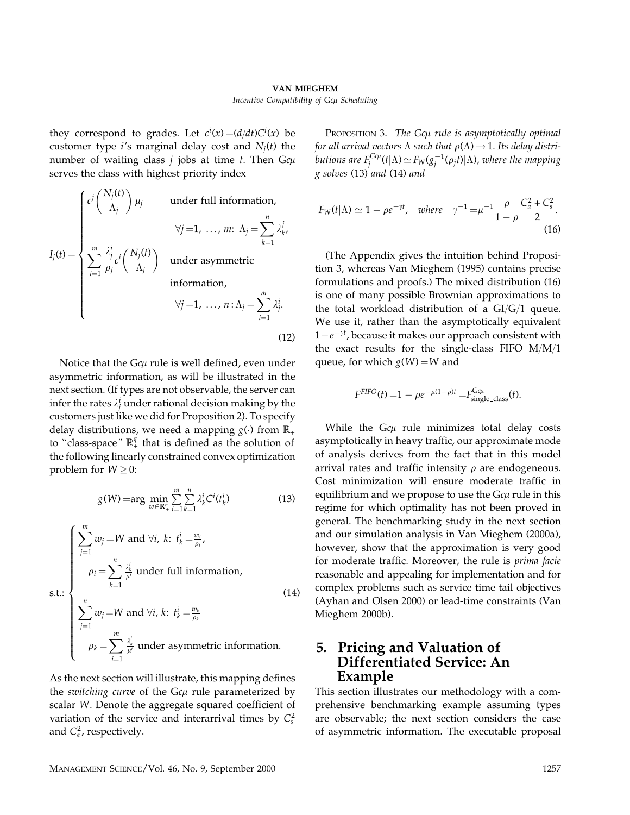they correspond to grades. Let  $c^i(x) = (d/dt)C^i(x)$  be customer type *i*'s marginal delay cost and  $N_i(t)$  the number of waiting class  $j$  jobs at time  $t.$  Then G $c\mu$ serves the class with highest priority index

$$
I_j(t) = \begin{cases} c^j \left(\frac{N_j(t)}{\Lambda_j}\right) \mu_j & \text{under full information,} \\ & \forall j = 1, \dots, m: \Lambda_j = \sum_{k=1}^n \lambda_k^j, \\ \sum_{i=1}^m \frac{\lambda_j^i}{\rho_j} c^i \left(\frac{N_j(t)}{\Lambda_j}\right) & \text{under asymmetric} \\ & \text{information,} \\ & \forall j = 1, \dots, n: \Lambda_j = \sum_{i=1}^m \lambda_j^i. \end{cases}
$$
(12)

Notice that the G $c\mu$  rule is well defined, even under asymmetric information, as will be illustrated in the next section. (If types are not observable, the server can infer the rates  $\lambda^i_j$  under rational decision making by the customers just like we did for Proposition 2). To specify delay distributions, we need a mapping  $g(.)$  from  $\mathbb{R}_+$ to "class-space"  $\mathbb{R}^{q}_{+}$  that is defined as the solution of the following linearly constrained convex optimization problem for  $W \geq 0$ :

$$
g(W) = \arg \min_{w \in \mathbb{R}_+^n} \sum_{i=1}^m \sum_{k=1}^n \lambda_k^i C^i(t_k^i)
$$
 (13)

$$
\begin{cases}\n\sum_{j=1}^{m} w_j = W \text{ and } \forall i, \ k \colon t_k^i = \frac{w_i}{\rho_i}, \\
\rho_i = \sum_{k=1}^{n} \frac{\lambda_k^i}{\mu^i} \text{ under full information,} \\
\sum_{j=1}^{n} w_j = W \text{ and } \forall i, \ k \colon t_k^i = \frac{w_k}{\rho_k} \\
\rho_k = \sum_{i=1}^{m} \frac{\lambda_k^i}{\mu^i} \text{ under asymmetric information.} \n\end{cases}
$$
\n(14)

As the next section will illustrate, this mapping defines the switching curve of the Gc $\mu$  rule parameterized by scalar W. Denote the aggregate squared coefficient of variation of the service and interarrival times by  $C_s^2$ and  $C_a^2$ , respectively.

Proposition 3. *The Gcµ rule is asymptotically optimal* for all arrival vectors  $\Lambda$  such that  $\rho(\Lambda) \rightarrow 1$ . Its delay distributions are  $F_j^{G\alpha} (t|\Lambda) \! \simeq \! F_{\!W} (g_j^{-1}(\rho_j t)|\Lambda)$ , where the mapping g solves (13) and (14) and

$$
F_W(t|\Lambda) \simeq 1 - \rho e^{-\gamma t}, \text{ where } \gamma^{-1} = \mu^{-1} \frac{\rho}{1 - \rho} \frac{C_a^2 + C_s^2}{2}.
$$
 (16)

(The Appendix gives the intuition behind Proposition 3, whereas Van Mieghem (1995) contains precise formulations and proofs.) The mixed distribution (16) is one of many possible Brownian approximations to the total workload distribution of a  $GI/G/1$  queue. We use it, rather than the asymptotically equivalent  $1-e^{-\gamma t}$ , because it makes our approach consistent with the exact results for the single-class FIFO  $M/M/1$ queue, for which  $g(W) = W$  and

$$
F^{FIFO}(t) = 1 - \rho e^{-\mu(1-\rho)t} = F_{\text{single-class}}^{G\mu}(t).
$$

While the G $c\mu$  rule minimizes total delay costs asymptotically in heavy traffic, our approximate mode of analysis derives from the fact that in this model arrival rates and traffic intensity  $\rho$  are endogeneous. Cost minimization will ensure moderate traffic in equilibrium and we propose to use the G $c\mu$  rule in this regime for which optimality has not been proved in general. The benchmarking study in the next section and our simulation analysis in Van Mieghem (2000a), however, show that the approximation is very good for moderate traffic. Moreover, the rule is prima facie reasonable and appealing for implementation and for complex problems such as service time tail objectives (Ayhan and Olsen 2000) or lead-time constraints (Van Mieghem 2000b).

## 5. Pricing and Valuation of Differentiated Service: An Example

This section illustrates our methodology with a comprehensive benchmarking example assuming types are observable; the next section considers the case of asymmetric information. The executable proposal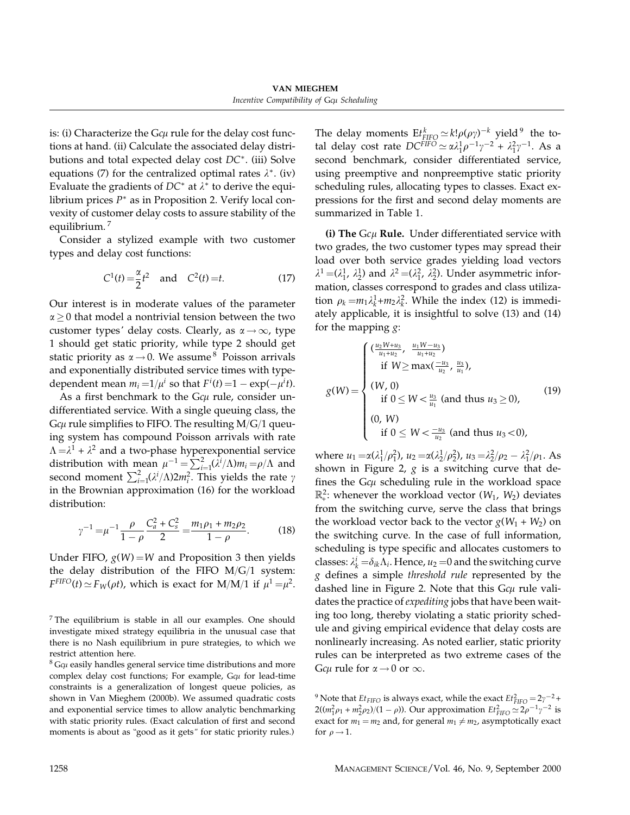is: (i) Characterize the G $c\mu$  rule for the delay cost functions at hand. (ii) Calculate the associated delay distributions and total expected delay cost DC∗. (iii) Solve equations (7) for the centralized optimal rates  $\lambda^*$ . (iv) Evaluate the gradients of  $DC^*$  at  $\lambda^*$  to derive the equilibrium prices  $P^*$  as in Proposition 2. Verify local convexity of customer delay costs to assure stability of the equilibrium. <sup>7</sup>

Consider a stylized example with two customer types and delay cost functions:

$$
C^{1}(t) = \frac{\alpha}{2}t^{2} \quad \text{and} \quad C^{2}(t) = t.
$$
 (17)

Our interest is in moderate values of the parameter  $\alpha \geq 0$  that model a nontrivial tension between the two customer types' delay costs. Clearly, as  $\alpha \rightarrow \infty$ , type 1 should get static priority, while type 2 should get static priority as  $\alpha \rightarrow 0$ . We assume <sup>8</sup> Poisson arrivals and exponentially distributed service times with typedependent mean  $m_i = 1/\mu^i$  so that  $F^i(t) = 1 - \exp(-\mu^i t)$ .

As a first benchmark to the  $Gc\mu$  rule, consider undifferentiated service. With a single queuing class, the G $c\mu$  rule simplifies to FIFO. The resulting M/G/1 queuing system has compound Poisson arrivals with rate  $\Lambda = \lambda^1 + \lambda^2$  and a two-phase hyperexponential service distribution with mean  $\mu^{-1} = \sum_{i=1}^{2} (\lambda^{i}/\Lambda)m_i = \rho/\Lambda$  and second moment  $\sum_{i=1}^{2} (\lambda^i/\Lambda) 2m_i^2$ . This yields the rate  $\gamma$ in the Brownian approximation (16) for the workload distribution:

$$
\gamma^{-1} = \mu^{-1} \frac{\rho}{1 - \rho} \frac{C_a^2 + C_s^2}{2} = \frac{m_1 \rho_1 + m_2 \rho_2}{1 - \rho}.
$$
 (18)

Under FIFO,  $g(W) = W$  and Proposition 3 then yields the delay distribution of the FIFO  $M/G/1$  system:  $F^{FIFO}(t) \simeq F_W(\rho t)$ , which is exact for M/M/1 if  $\mu^1 = \mu^2$ .

 $<sup>7</sup>$  The equilibrium is stable in all our examples. One should</sup> investigate mixed strategy equilibria in the unusual case that there is no Nash equilibrium in pure strategies, to which we restrict attention here.

 $8$  G $c\mu$  easily handles general service time distributions and more complex delay cost functions; For example,  $G\epsilon\mu$  for lead-time constraints is a generalization of longest queue policies, as shown in Van Mieghem (2000b). We assumed quadratic costs and exponential service times to allow analytic benchmarking with static priority rules. (Exact calculation of first and second moments is about as "good as it gets" for static priority rules.)

The delay moments  $\mathrm{E}t_{\text{FIFO}}^k \simeq k! \rho(\rho \gamma)^{-k}$  yield <sup>9</sup> the total delay cost rate  $DC^{FIFO} \simeq \alpha \lambda_1^1 \rho^{-1} \gamma^{-2} + \lambda_1^2 \gamma^{-1}$ . As a second benchmark, consider differentiated service, using preemptive and nonpreemptive static priority scheduling rules, allocating types to classes. Exact expressions for the first and second delay moments are summarized in Table 1.

(i) The  $Gc\mu$  Rule. Under differentiated service with two grades, the two customer types may spread their load over both service grades yielding load vectors  $\lambda^1 = (\lambda_1^1, \lambda_2^1)$  and  $\lambda^2 = (\lambda_1^2, \lambda_2^2)$ . Under asymmetric information, classes correspond to grades and class utilization  $\rho_k = m_1 \lambda_k^1 + m_2 \lambda_k^2$ . While the index (12) is immediately applicable, it is insightful to solve (13) and (14) for the mapping  $g$ :

$$
g(W) = \begin{cases} \left(\frac{u_2 W + u_3}{u_1 + u_2}, \frac{u_1 W - u_3}{u_1 + u_2}\right) & \text{if } W \ge \max\left(\frac{-u_3}{u_2}, \frac{u_3}{u_1}\right), \\ (W, 0) & \text{if } 0 \le W < \frac{u_3}{u_1} \text{ (and thus } u_3 \ge 0), \\ (0, W) & \text{if } 0 \le W < \frac{-u_3}{u_2} \text{ (and thus } u_3 < 0), \end{cases} \tag{19}
$$

where  $u_1 = \alpha(\lambda_1^1/\rho_1^2)$ ,  $u_2 = \alpha(\lambda_2^1/\rho_2^2)$ ,  $u_3 = \lambda_2^2/\rho_2 - \lambda_1^2/\rho_1$ . As shown in Figure 2,  $g$  is a switching curve that defines the G $c\mu$  scheduling rule in the workload space  $\mathbb{R}^2$ : whenever the workload vector  $(W_1, W_2)$  deviates from the switching curve, serve the class that brings the workload vector back to the vector  $g(W_1 + W_2)$  on the switching curve. In the case of full information, scheduling is type specific and allocates customers to classes:  $\lambda_k^i = \delta_{ik} \Lambda_i$ . Hence,  $u_2 = 0$  and the switching curve g defines a simple threshold rule represented by the dashed line in Figure 2. Note that this  $Gc\mu$  rule validates the practice of *expediting* jobs that have been waiting too long, thereby violating a static priority schedule and giving empirical evidence that delay costs are nonlinearly increasing. As noted earlier, static priority rules can be interpreted as two extreme cases of the G $c\mu$  rule for  $\alpha \rightarrow 0$  or  $\infty$ .

<sup>9</sup> Note that  $Et_{FIFO}$  is always exact, while the exact  $Et_{FIFO}^2 = 2\gamma^{-2} +$  $2((m_1^2 \rho_1 + m_2^2 \rho_2)/(1 - \rho))$ . Our approximation  $Et_{FIFO}^2 \simeq 2\rho^{-1} \gamma^{-2}$  is exact for  $m_1 = m_2$  and, for general  $m_1 \neq m_2$ , asymptotically exact for  $\rho \rightarrow 1$ .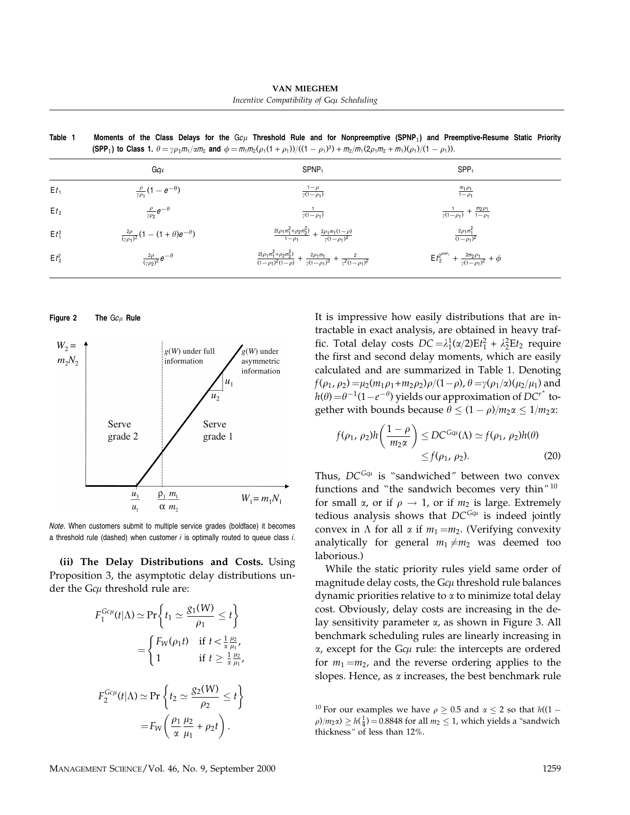VAN MIEGHEM Incentive Compatibility of Gcµ Scheduling

| (SPP <sub>1</sub> ) to Class 1. $\theta = \gamma \rho_1 m_1 / \alpha m_2$ and $\phi = m_1 m_2 (\rho_1 (1 + \rho_1))/(1 - \rho_1)^3) + m_2 / m_1 (2 \rho_1 m_2 + m_1) (\rho_1)/(1 - \rho_1)$ ). |                                                                                                                                         |                                                                               |  |
|------------------------------------------------------------------------------------------------------------------------------------------------------------------------------------------------|-----------------------------------------------------------------------------------------------------------------------------------------|-------------------------------------------------------------------------------|--|
| Gcu                                                                                                                                                                                            | SPNP <sub>1</sub>                                                                                                                       | $SPP_1$                                                                       |  |
| $\frac{\rho}{\gamma \rho_1} (1 - e^{-\theta})$                                                                                                                                                 | $\frac{1-\rho}{\gamma(1-\rho_1)}$                                                                                                       | $\frac{m_1 \rho_1}{1-\rho_1}$                                                 |  |
| $\frac{\rho}{\gamma \rho_2} e^{-\theta}$                                                                                                                                                       | $\frac{1}{\gamma(1-\rho_1)}$                                                                                                            | $\frac{1}{\gamma(1-\rho_1)} + \frac{m_2\rho_1}{1-\rho_1}$                     |  |
| $\frac{2\rho}{(\gamma \rho_1)^2} (1 - (1+\theta)e^{-\theta})$                                                                                                                                  | $\frac{2(\rho_1 m_1^2 + \rho_2 m_2^2)}{1-\rho_1} + \frac{2\rho_1 m_1 (1-\rho)}{\gamma (1-\rho_1)^2}$                                    | $\frac{2\rho_1 m_1^2}{(1-\rho_1)^2}$                                          |  |
| $\frac{2\rho}{(\gamma \rho_2)^2}e^{-\theta}$                                                                                                                                                   | $\frac{2(\rho_1 m_1^2 + \rho_2 m_2^2)}{(1-\rho_1)^2(1-\rho)} + \frac{2\rho_1 m_1}{\gamma(1-\rho_1)^3} + \frac{2}{\gamma^2(1-\rho_1)^2}$ | $E t_2^{2^{s p_{N} p_1}} + \frac{2 m_2 \rho_1}{\gamma (1 - \rho_1)^2} + \phi$ |  |
|                                                                                                                                                                                                |                                                                                                                                         |                                                                               |  |

Table 1  $\,$  Moments of the Class Delays for the G $c\mu$  Threshold Rule and for Nonpreemptive (SPNP $_1$ ) and Preemptive-Resume Static Priority

Figure 2 The  ${\rm G}c_\mu$  Rule



Note. When customers submit to multiple service grades (boldface) it becomes a threshold rule (dashed) when customer  $i$  is optimally routed to queue class  $i$ .

(ii) The Delay Distributions and Costs. Using Proposition 3, the asymptotic delay distributions under the G $c\mu$  threshold rule are:

$$
F_1^{Gc\mu}(t|\Lambda) \simeq \Pr\left\{t_1 \simeq \frac{g_1(W)}{\rho_1} \le t\right\}
$$
  
= 
$$
\begin{cases} F_W(\rho_1 t) & \text{if } t < \frac{1}{\alpha} \frac{\mu_2}{\mu_1}, \\ 1 & \text{if } t \ge \frac{1}{\alpha} \frac{\mu_2}{\mu_1}, \end{cases}
$$
  

$$
F_2^{Gc\mu}(t|\Lambda) \simeq \Pr\left\{t_2 \simeq \frac{g_2(W)}{\rho_2} \le t\right\}
$$
  
= 
$$
F_W\left(\frac{\rho_1}{\alpha} \frac{\mu_2}{\mu_1} + \rho_2 t\right).
$$

It is impressive how easily distributions that are intractable in exact analysis, are obtained in heavy traffic. Total delay costs  $DC = \lambda_1^1(\alpha/2)Et_1^2 + \lambda_2^2Et_2$  require the first and second delay moments, which are easily calculated and are summarized in Table 1. Denoting  $f(\rho_1, \rho_2) = \mu_2(m_1 \rho_1 + m_2 \rho_2) \rho / (1 - \rho)$ ,  $\theta = \gamma(\rho_1 / \alpha) (\mu_2 / \mu_1)$  and  $h(\theta) = \theta^{-1}(1-e^{-\theta})$  yields our approximation of  $DC^{r^*}$  together with bounds because  $\theta \leq (1 - \rho)/m_2 \alpha \leq 1/m_2 \alpha$ .

$$
f(\rho_1, \rho_2)h\left(\frac{1-\rho}{m_2\alpha}\right) \le DC^{G\alpha}(\Lambda) \simeq f(\rho_1, \rho_2)h(\theta)
$$
  
\$\leq f(\rho\_1, \rho\_2).\$ (20)

Thus,  $DC^{G\alpha}$  is "sandwiched" between two convex functions and ''the sandwich becomes very thin" <sup>10</sup> for small  $\alpha$ , or if  $\rho \rightarrow 1$ , or if  $m_2$  is large. Extremely tedious analysis shows that  $DC^{G\alpha}$  is indeed jointly convex in  $\Lambda$  for all  $\alpha$  if  $m_1 = m_2$ . (Verifying convexity analytically for general  $m_1 \neq m_2$  was deemed too laborious.)

While the static priority rules yield same order of magnitude delay costs, the G $c\mu$  threshold rule balances dynamic priorities relative to  $\alpha$  to minimize total delay cost. Obviously, delay costs are increasing in the delay sensitivity parameter  $\alpha$ , as shown in Figure 3. All benchmark scheduling rules are linearly increasing in  $\alpha$ , except for the G $c\mu$  rule: the intercepts are ordered for  $m_1 = m_2$ , and the reverse ordering applies to the slopes. Hence, as  $\alpha$  increases, the best benchmark rule

<sup>&</sup>lt;sup>10</sup> For our examples we have  $\rho \ge 0.5$  and  $\alpha \le 2$  so that  $h((1 \rho$ / $m_2$  $\alpha$ )  $\geq h(\frac{1}{4})$  = 0.8848 for all  $m_2 \leq 1$ , which yields a "sandwich thickness" of less than 12%.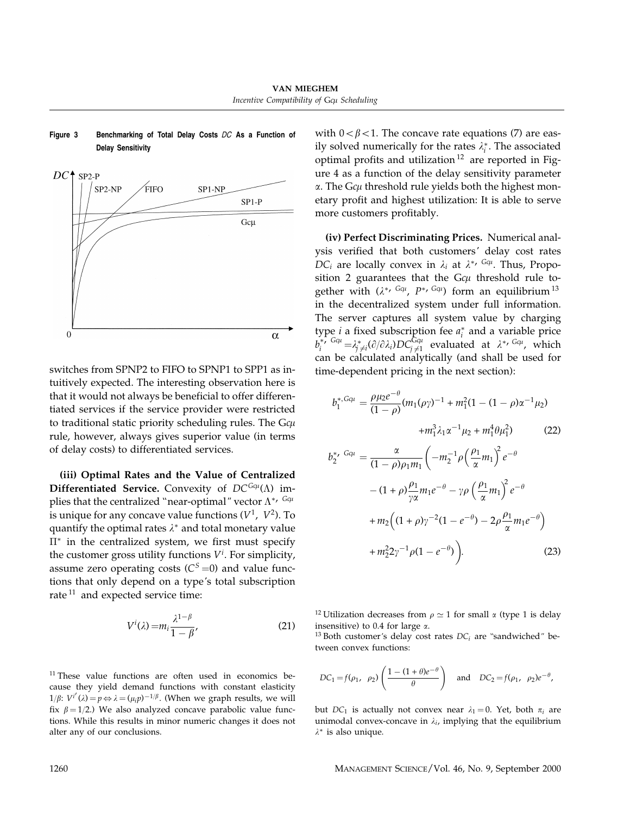

Figure 3 Benchmarking of Total Delay Costs DC As a Function of Delay Sensitivity

switches from SPNP2 to FIFO to SPNP1 to SPP1 as intuitively expected. The interesting observation here is that it would not always be beneficial to offer differentiated services if the service provider were restricted to traditional static priority scheduling rules. The G $c\mu$ rule, however, always gives superior value (in terms of delay costs) to differentiated services.

(iii) Optimal Rates and the Value of Centralized Differentiated Service. Convexity of  $DC^{G\alpha}(\Lambda)$  implies that the centralized "near-optimal" vector  $\Lambda^{*,Gqu}$ is unique for any concave value functions  $(V^1, V^2)$ . To quantify the optimal rates  $\lambda^*$  and total monetary value  $\Pi^*$  in the centralized system, we first must specify the customer gross utility functions  $V^i$ . For simplicity, assume zero operating costs ( $C<sup>S</sup>=0$ ) and value functions that only depend on a type's total subscription rate  $11$  and expected service time:

$$
V^{i}(\lambda) = m_{i} \frac{\lambda^{1-\beta}}{1-\beta},
$$
\n(21)

 $11$  These value functions are often used in economics because they yield demand functions with constant elasticity 1/β:  $V^{i'}(\lambda) = p \Leftrightarrow \lambda = (\mu_i p)^{-1/\beta}$ . (When we graph results, we will fix  $\beta = 1/2$ .) We also analyzed concave parabolic value functions. While this results in minor numeric changes it does not alter any of our conclusions.

with  $0 < \beta < 1$ . The concave rate equations (7) are easily solved numerically for the rates  $\lambda_i^*$ . The associated optimal profits and utilization <sup>12</sup> are reported in Figure 4 as a function of the delay sensitivity parameter  $\alpha$ . The G $c\mu$  threshold rule yields both the highest monetary profit and highest utilization: It is able to serve more customers profitably.

(iv) Perfect Discriminating Prices. Numerical analysis verified that both customers' delay cost rates  $DC_i$  are locally convex in  $\lambda_i$  at  $\lambda^{*}$ ,  $Ga_i$ . Thus, Proposition 2 guarantees that the  $Gc\mu$  threshold rule together with  $(\lambda^*, G,^{G\mu}, P^{*, G\mu})$  form an equilibrium  $^{13}$ in the decentralized system under full information. The server captures all system value by charging type *i* a fixed subscription fee  $a_i^*$  and a variable price  $b_i^{*, Gq_i} = \lambda_{j \neq i}^* (\partial/\partial \lambda_i) DC_{j \neq 1}^{Gq_i}$  evaluated at  $\lambda^{*, Gq_i}$ , which can be calculated analytically (and shall be used for time-dependent pricing in the next section):

$$
b_1^{*,G\alpha\mu} = \frac{\rho\mu_2 e^{-\theta}}{(1-\rho)} (m_1(\rho\gamma)^{-1} + m_1^2 (1 - (1 - \rho)\alpha^{-1}\mu_2) + m_1^3 \lambda_1 \alpha^{-1} \mu_2 + m_1^4 \theta \mu_1^2)
$$
 (22)  

$$
b_2^{*,G\alpha\mu} = \frac{\alpha}{(1-\rho)\rho_1 m_1} \left( -m_2^{-1} \rho \left( \frac{\rho_1}{\alpha} m_1 \right)^2 e^{-\theta} - (1 + \rho) \frac{\rho_1}{\gamma \alpha} m_1 e^{-\theta} - \gamma \rho \left( \frac{\rho_1}{\alpha} m_1 \right)^2 e^{-\theta} + m_2 \left( (1 + \rho)\gamma^{-2} (1 - e^{-\theta}) - 2\rho \frac{\rho_1}{\alpha} m_1 e^{-\theta} \right) + m_2^2 2\gamma^{-1} \rho (1 - e^{-\theta})
$$
 (23)

<sup>12</sup> Utilization decreases from  $\rho \simeq 1$  for small  $\alpha$  (type 1 is delay insensitive) to 0.4 for large  $\alpha$ .

<sup>13</sup> Both customer's delay cost rates  $DC_i$  are "sandwiched" between convex functions:

$$
DC_1 = f(\rho_1, \ \rho_2) \left( \frac{1 - (1 + \theta)e^{-\theta}}{\theta} \right)
$$
 and  $DC_2 = f(\rho_1, \ \rho_2)e^{-\theta}$ ,

but  $DC_1$  is actually not convex near  $\lambda_1 = 0$ . Yet, both  $\pi_i$  are unimodal convex-concave in  $\lambda_i$ , implying that the equilibrium  $λ$ <sup>\*</sup> is also unique.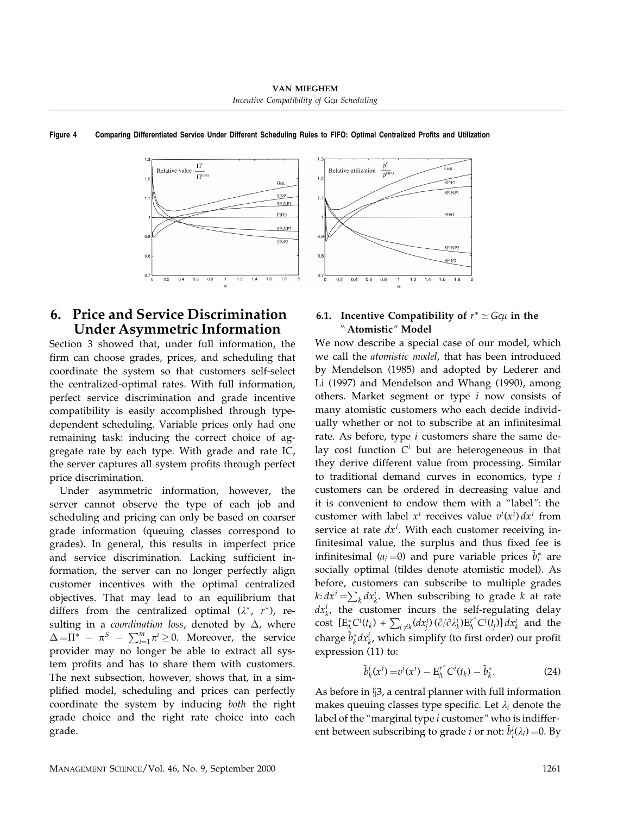

### Figure 4 Comparing Differentiated Service Under Different Scheduling Rules to FIFO: Optimal Centralized Profits and Utilization

## 6. Price and Service Discrimination Under Asymmetric Information

Section 3 showed that, under full information, the firm can choose grades, prices, and scheduling that coordinate the system so that customers self-select the centralized-optimal rates. With full information, perfect service discrimination and grade incentive compatibility is easily accomplished through typedependent scheduling. Variable prices only had one remaining task: inducing the correct choice of aggregate rate by each type. With grade and rate IC, the server captures all system profits through perfect price discrimination.

Under asymmetric information, however, the server cannot observe the type of each job and scheduling and pricing can only be based on coarser grade information (queuing classes correspond to grades). In general, this results in imperfect price and service discrimination. Lacking sufficient information, the server can no longer perfectly align customer incentives with the optimal centralized objectives. That may lead to an equilibrium that differs from the centralized optimal  $(\lambda^*, r^*)$ , resulting in a *coordination loss*, denoted by  $\Delta$ , where  $\Delta = \Pi^* - \pi^S - \sum_{i=1}^m \pi^i \geq 0$ . Moreover, the service provider may no longer be able to extract all system profits and has to share them with customers. The next subsection, however, shows that, in a simplified model, scheduling and prices can perfectly coordinate the system by inducing both the right grade choice and the right rate choice into each grade.



We now describe a special case of our model, which we call the atomistic model, that has been introduced by Mendelson (1985) and adopted by Lederer and Li (1997) and Mendelson and Whang (1990), among others. Market segment or type  $i$  now consists of many atomistic customers who each decide individually whether or not to subscribe at an infinitesimal rate. As before, type  $i$  customers share the same delay cost function  $C<sup>i</sup>$  but are heterogeneous in that they derive different value from processing. Similar to traditional demand curves in economics, type  $i$ customers can be ordered in decreasing value and it is convenient to endow them with a ''label": the customer with label  $x^i$  receives value  $v^i(x^i) dx^i$  from service at rate  $dx^{i}$ . With each customer receiving infinitesimal value, the surplus and thus fixed fee is infinitesimal ( $a_i = 0$ ) and pure variable prices  $\tilde{b}_i^*$  are socially optimal (tildes denote atomistic model). As before, customers can subscribe to multiple grades  $k: dx^{i} = \sum_{k} dx^{i}_{k}$ . When subscribing to grade  $k$  at rate  $dx_k^i$ , the customer incurs the self-regulating delay cost  $[E^*_{\Lambda}C^i(t_k) + \sum_{j \neq k} (dx^i_j) (\partial/\partial \lambda^i_k)E^{r^*}_{\Lambda}C^i(t_j)] dx^i_k$  and the charge  $\tilde{b}_k^* dx^i_k$ , which simplify (to first order) our profit expression (11) to:

$$
\tilde{b}_{k}^{i}(x^{i}) = v^{i}(x^{i}) - \mathbf{E}_{\Lambda}^{r^{*}} C^{i}(t_{k}) - \tilde{b}_{k}^{*}.
$$
 (24)

As before in §3, a central planner with full information makes queuing classes type specific. Let  $\lambda_i$  denote the label of the "marginal type i customer" who is indifferent between subscribing to grade *i* or not:  $\tilde{b}_i^i(\lambda_i) = 0$ . By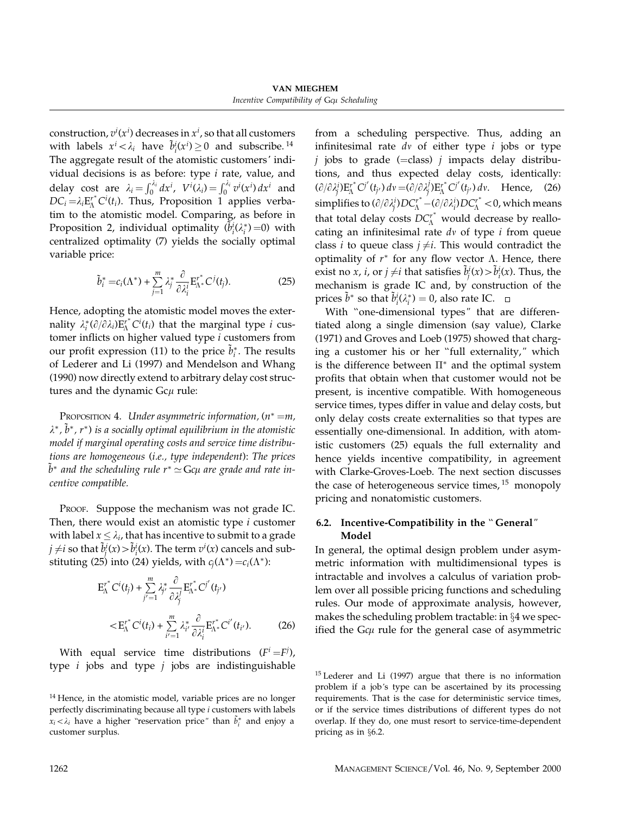VAN MIEGHEM Incentive Compatibility of Gcµ Scheduling

construction,  $v^i(x^i)$  decreases in  $x^i$ , so that all customers with labels  $x^i < \lambda_i$  have  $\tilde{b}_i^i(x^i) \ge 0$  and subscribe.<sup>14</sup> The aggregate result of the atomistic customers' individual decisions is as before: type  $i$  rate, value, and delay cost are  $\lambda_i = \int_0^{\lambda_i} dx^i$ ,  $V^i(\lambda_i) = \int_0^{\lambda_i} v^i(x^i) dx^i$  and  $DC_i = \lambda_i E_{\Lambda}^{r^*} C^i(t_i)$ . Thus, Proposition 1 applies verbatim to the atomistic model. Comparing, as before in Proposition 2, individual optimality  $(\tilde{b}_i^i(\lambda_i^*)=0)$  with centralized optimality (7) yields the socially optimal variable price:

$$
\tilde{b}_i^* = c_i(\Lambda^*) + \sum_{j=1}^m \lambda_j^* \frac{\partial}{\partial \lambda_i^i} E_{\Lambda^*}^{r^*} C^j(t_j). \tag{25}
$$

Hence, adopting the atomistic model moves the externality  $\lambda_i^*(\partial/\partial \lambda_i) E^{\mathbf{r}^*}_{\Lambda} C^i(t_i)$  that the marginal type *i* customer inflicts on higher valued type i customers from our profit expression (11) to the price  $\tilde{b}_i^*$ . The results of Lederer and Li (1997) and Mendelson and Whang (1990) now directly extend to arbitrary delay cost structures and the dynamic Gc $\mu$  rule:

PROPOSITION 4. Under asymmetric information,  $(n^* = m,$  $\lambda^*$ ,  $\tilde{b}^*$ ,  $r^*$ ) is a socially optimal equilibrium in the atomistic model if marginal operating costs and service time distributions are homogeneous (i.e., type independent): The prices  $\tilde{b}^*$  and the scheduling rule r $^*$   $\simeq$  Gcµ are grade and rate incentive compatible.

PROOF. Suppose the mechanism was not grade IC. Then, there would exist an atomistic type  $i$  customer with label  $x \leq \lambda_i$ , that has incentive to submit to a grade  $j\neq i$  so that  $\tilde{b}_j^i(x)$   $>$   $\tilde{b}_i^i(x)$ . The term  $v^i(x)$  cancels and substituting (25) into (24) yields, with  $c_i(\Lambda^*) = c_i(\Lambda^*)$ :

$$
E_{\Lambda}^{r^*} C^i(t_j) + \sum_{j'=1}^m \lambda_{j'}^* \frac{\partial}{\partial \lambda_j^j} E_{\Lambda^*}^{r^*} C^{j'}(t_{j'})
$$
  

$$
< E_{\Lambda}^{r^*} C^i(t_i) + \sum_{i'=1}^m \lambda_{i'}^* \frac{\partial}{\partial \lambda_i^i} E_{\Lambda^*}^{r^*} C^{i'}(t_{i'}).
$$
 (26)

With equal service time distributions  $(F^i = F^j)$ , type  $i$  jobs and type  $j$  jobs are indistinguishable from a scheduling perspective. Thus, adding an infinitesimal rate  $dv$  of either type  $i$  jobs or type *j* jobs to grade (=class) *j* impacts delay distributions, and thus expected delay costs, identically:  $(\partial/\partial \lambda_j^i) E^{r^*}_{\Lambda} C^{j'}(t_{j'}) dv = (\partial/\partial \lambda_j^j) E^{r^*}_{\Lambda} C^{j'}(t_{j'}) dv.$  Hence, (26) simplifies to  $(\partial/\partial \lambda^i_j)DC^{r^*}_\Lambda\! (\partial/\partial \lambda^i_i)DC^{r^*}_\Lambda\! <$  0, which means that total delay costs  $DC<sub>A</sub><sup>r*</sup>$  would decrease by reallocating an infinitesimal rate  $dv$  of type  $i$  from queue class *i* to queue class  $j \neq i$ . This would contradict the optimality of  $r^*$  for any flow vector  $\Lambda$ . Hence, there exist no *x*, *i*, or  $j \neq i$  that satisfies  $\tilde{b}_j^i(x) > \tilde{b}_i^i(x)$ . Thus, the mechanism is grade IC and, by construction of the prices  $\tilde{b}^*$  so that  $\tilde{b}_i^i(\lambda_i^*) = 0$ , also rate IC.

With ''one-dimensional types" that are differentiated along a single dimension (say value), Clarke (1971) and Groves and Loeb (1975) showed that charging a customer his or her ''full externality," which is the difference between  $\Pi^*$  and the optimal system profits that obtain when that customer would not be present, is incentive compatible. With homogeneous service times, types differ in value and delay costs, but only delay costs create externalities so that types are essentially one-dimensional. In addition, with atomistic customers (25) equals the full externality and hence yields incentive compatibility, in agreement with Clarke-Groves-Loeb. The next section discusses the case of heterogeneous service times,  $15$  monopoly pricing and nonatomistic customers.

#### 6.2. Incentive-Compatibility in the '' General" Model

In general, the optimal design problem under asymmetric information with multidimensional types is intractable and involves a calculus of variation problem over all possible pricing functions and scheduling rules. Our mode of approximate analysis, however, makes the scheduling problem tractable: in §4 we specified the G $c\mu$  rule for the general case of asymmetric

<sup>&</sup>lt;sup>14</sup> Hence, in the atomistic model, variable prices are no longer perfectly discriminating because all type i customers with labels  $x_i < \lambda_i$  have a higher "reservation price" than  $\tilde{b}_i^*$  and enjoy a customer surplus.

<sup>&</sup>lt;sup>15</sup> Lederer and Li (1997) argue that there is no information problem if a job's type can be ascertained by its processing requirements. That is the case for deterministic service times, or if the service times distributions of different types do not overlap. If they do, one must resort to service-time-dependent pricing as in §6.2.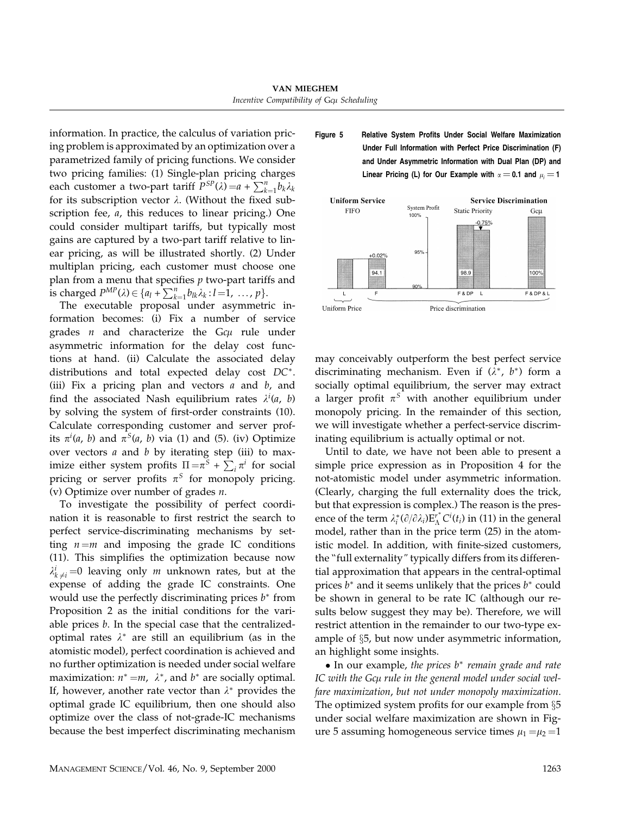information. In practice, the calculus of variation pricing problem is approximated by an optimization over a parametrized family of pricing functions. We consider two pricing families: (1) Single-plan pricing charges each customer a two-part tariff  $P^{SP}(\lambda) = a + \sum_{k=1}^{n} b_k \lambda_k$ for its subscription vector  $\lambda$ . (Without the fixed subscription fee, *a*, this reduces to linear pricing.) One could consider multipart tariffs, but typically most gains are captured by a two-part tariff relative to linear pricing, as will be illustrated shortly. (2) Under multiplan pricing, each customer must choose one plan from a menu that specifies  $p$  two-part tariffs and is charged  $P^{MP}(\lambda) \in \{a_l + \sum_{k=1}^n b_{lk}\lambda_k : l = 1, \ldots, p\}.$ 

The executable proposal under asymmetric information becomes: (i) Fix a number of service grades  $n$  and characterize the G $c\mu$  rule under asymmetric information for the delay cost functions at hand. (ii) Calculate the associated delay distributions and total expected delay cost DC∗. (iii) Fix a pricing plan and vectors  $a$  and  $b$ , and find the associated Nash equilibrium rates  $\lambda^{i}(a, b)$ by solving the system of first-order constraints (10). Calculate corresponding customer and server profits  $\pi^{i}(a, b)$  and  $\pi^{S}(a, b)$  via (1) and (5). (iv) Optimize over vectors  $a$  and  $b$  by iterating step (iii) to maximize either system profits  $\Pi = \pi^S + \sum_i \pi^i$  for social pricing or server profits  $\pi^S$  for monopoly pricing. (v) Optimize over number of grades  $n$ .

To investigate the possibility of perfect coordination it is reasonable to first restrict the search to perfect service-discriminating mechanisms by setting  $n = m$  and imposing the grade IC conditions (11). This simplifies the optimization because now  $\lambda_k^i_{j \neq i} = 0$  leaving only *m* unknown rates, but at the expense of adding the grade IC constraints. One would use the perfectly discriminating prices  $b^*$  from Proposition 2 as the initial conditions for the variable prices  $b$ . In the special case that the centralizedoptimal rates  $\lambda^*$  are still an equilibrium (as in the atomistic model), perfect coordination is achieved and no further optimization is needed under social welfare maximization:  $n^* = m$ ,  $\lambda^*$ , and  $b^*$  are socially optimal. If, however, another rate vector than  $\lambda^*$  provides the optimal grade IC equilibrium, then one should also optimize over the class of not-grade-IC mechanisms because the best imperfect discriminating mechanism Figure 5 Relative System Profits Under Social Welfare Maximization Under Full Information with Perfect Price Discrimination (F) and Under Asymmetric Information with Dual Plan (DP) and Linear Pricing (L) for Our Example with  $\alpha$   $=$  0.1 and  $\mu$ <sub>i</sub>  $=$  1



may conceivably outperform the best perfect service discriminating mechanism. Even if  $(\lambda^*, b^*)$  form a socially optimal equilibrium, the server may extract a larger profit  $\pi^S$  with another equilibrium under monopoly pricing. In the remainder of this section, we will investigate whether a perfect-service discriminating equilibrium is actually optimal or not.

Until to date, we have not been able to present a simple price expression as in Proposition 4 for the not-atomistic model under asymmetric information. (Clearly, charging the full externality does the trick, but that expression is complex.) The reason is the presence of the term  $\lambda_i^* (\partial/\partial \lambda_i) E_{\Lambda}^{r^*} C^i(t_i)$  in (11) in the general model, rather than in the price term (25) in the atomistic model. In addition, with finite-sized customers, the ''full externality" typically differs from its differential approximation that appears in the central-optimal prices  $b^*$  and it seems unlikely that the prices  $b^*$  could be shown in general to be rate IC (although our results below suggest they may be). Therefore, we will restrict attention in the remainder to our two-type example of §5, but now under asymmetric information, an highlight some insights.

• In our example, the prices b<sup>∗</sup> remain grade and rate IC with the Gcµ rule in the general model under social welfare maximization, but not under monopoly maximization. The optimized system profits for our example from §5 under social welfare maximization are shown in Figure 5 assuming homogeneous service times  $\mu_1 = \mu_2 = 1$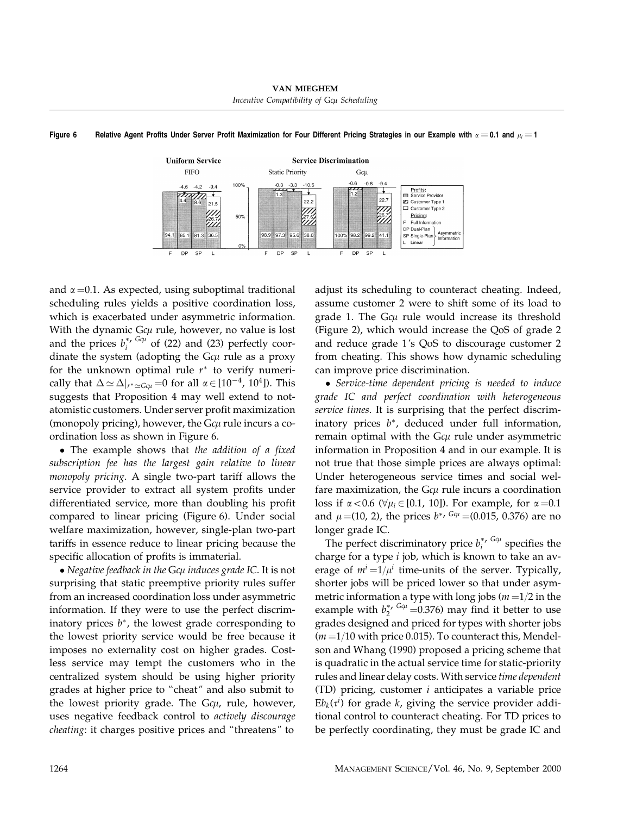



and  $\alpha$  =0.1. As expected, using suboptimal traditional scheduling rules yields a positive coordination loss, which is exacerbated under asymmetric information. With the dynamic G $c\mu$  rule, however, no value is lost and the prices  $b_i^{*}$  Gq<sup>i</sup> of (22) and (23) perfectly coordinate the system (adopting the G $c\mu$  rule as a proxy for the unknown optimal rule  $r^*$  to verify numerically that  $\Delta \simeq \Delta|_{r^* \simeq G \cdot \mu} = 0$  for all  $\alpha \in [10^{-4}, 10^4]$ ). This suggests that Proposition 4 may well extend to notatomistic customers. Under server profit maximization (monopoly pricing), however, the G $c\mu$  rule incurs a coordination loss as shown in Figure 6.

• The example shows that the addition of a fixed subscription fee has the largest gain relative to linear monopoly pricing. A single two-part tariff allows the service provider to extract all system profits under differentiated service, more than doubling his profit compared to linear pricing (Figure 6). Under social welfare maximization, however, single-plan two-part tariffs in essence reduce to linear pricing because the specific allocation of profits is immaterial.

 $\bullet$  Negative feedback in the Gc $\mu$  induces grade IC. It is not surprising that static preemptive priority rules suffer from an increased coordination loss under asymmetric information. If they were to use the perfect discriminatory prices  $b^*$ , the lowest grade corresponding to the lowest priority service would be free because it imposes no externality cost on higher grades. Costless service may tempt the customers who in the centralized system should be using higher priority grades at higher price to ''cheat" and also submit to the lowest priority grade. The G $c\mu$ , rule, however, uses negative feedback control to actively discourage cheating: it charges positive prices and ''threatens" to

adjust its scheduling to counteract cheating. Indeed, assume customer 2 were to shift some of its load to grade 1. The G $c\mu$  rule would increase its threshold (Figure 2), which would increase the QoS of grade 2 and reduce grade 1's QoS to discourage customer 2 from cheating. This shows how dynamic scheduling can improve price discrimination.

• Service-time dependent pricing is needed to induce grade IC and perfect coordination with heterogeneous service times. It is surprising that the perfect discriminatory prices  $b^*$ , deduced under full information, remain optimal with the G $c\mu$  rule under asymmetric information in Proposition 4 and in our example. It is not true that those simple prices are always optimal: Under heterogeneous service times and social welfare maximization, the  $G\epsilon\mu$  rule incurs a coordination loss if  $\alpha < 0.6$  ( $\forall \mu_i \in [0.1, 10]$ ). For example, for  $\alpha = 0.1$ and  $\mu = (10, 2)$ , the prices  $b^{*, G\alpha\mu} = (0.015, 0.376)$  are no longer grade IC.

The perfect discriminatory price  $b_i^*$ ,  $G\alpha_i$  specifies the charge for a type  $i$  job, which is known to take an average of  $m^{i}$  =1/ $\mu^{i}$  time-units of the server. Typically, shorter jobs will be priced lower so that under asymmetric information a type with long jobs  $(m=1/2$  in the example with  $b_2^*$ ,  $G_{\text{cut}} = 0.376$  may find it better to use grades designed and priced for types with shorter jobs  $(m=1/10$  with price 0.015). To counteract this, Mendelson and Whang (1990) proposed a pricing scheme that is quadratic in the actual service time for static-priority rules and linear delay costs. With service time dependent (TD) pricing, customer  $i$  anticipates a variable price  $Eb_k(\tau^i)$  for grade k, giving the service provider additional control to counteract cheating. For TD prices to be perfectly coordinating, they must be grade IC and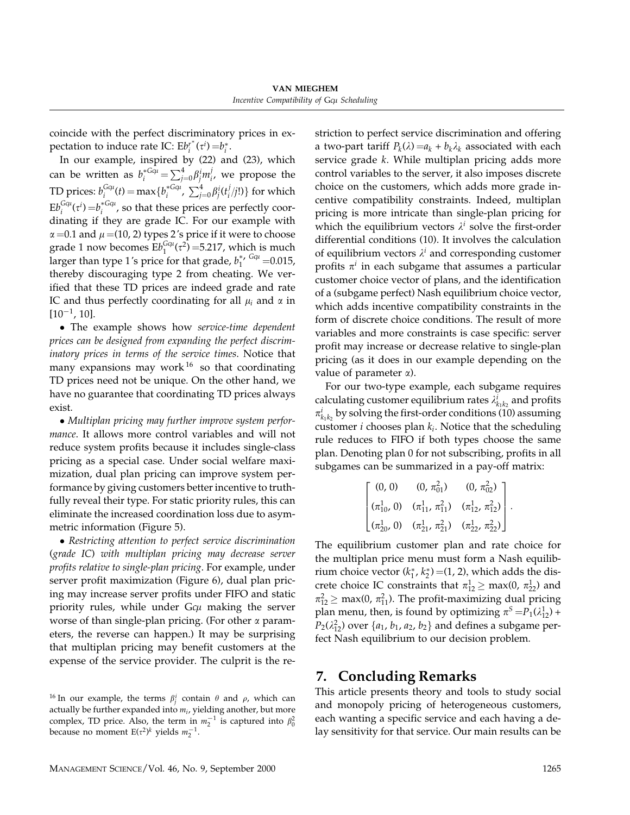coincide with the perfect discriminatory prices in expectation to induce rate IC:  $Eb_i^{r^*}(\tau^i) = b_i^*$ .

In our example, inspired by (22) and (23), which can be written as  $b_i^{*G\mu} = \sum_{j=0}^4 \beta_j^i m_i^j$ , we propose the TD prices:  $b_i^{G\alpha\mu}(t) = \max\{b_i^{*G\alpha\mu},\ \sum_{j=0}^4 \beta_j^i(t_i^j/j!) \}$  for which  $Eb_i^{Gcu}(\tau^i)=b_i^{*Gcu}$ , so that these prices are perfectly coordinating if they are grade IC. For our example with  $\alpha$  =0.1 and  $\mu$  =(10, 2) types 2's price if it were to choose grade 1 now becomes  $Eb_1^{Gqu}(\tau^2) = 5.217$ , which is much larger than type 1's price for that grade,  $b_1^{*, G\alpha} = 0.015$ , thereby discouraging type 2 from cheating. We verified that these TD prices are indeed grade and rate IC and thus perfectly coordinating for all  $\mu_i$  and  $\alpha$  in  $[10^{-1}, 10]$ .

• The example shows how *service-time* dependent prices can be designed from expanding the perfect discriminatory prices in terms of the service times. Notice that many expansions may work  $16$  so that coordinating TD prices need not be unique. On the other hand, we have no guarantee that coordinating TD prices always exist.

• Multiplan pricing may further improve system performance. It allows more control variables and will not reduce system profits because it includes single-class pricing as a special case. Under social welfare maximization, dual plan pricing can improve system performance by giving customers better incentive to truthfully reveal their type. For static priority rules, this can eliminate the increased coordination loss due to asymmetric information (Figure 5).

• Restricting attention to perfect service discrimination (grade IC) with multiplan pricing may decrease server profits relative to single-plan pricing. For example, under server profit maximization (Figure 6), dual plan pricing may increase server profits under FIFO and static priority rules, while under  $Gc\mu$  making the server worse of than single-plan pricing. (For other  $\alpha$  parameters, the reverse can happen.) It may be surprising that multiplan pricing may benefit customers at the expense of the service provider. The culprit is the restriction to perfect service discrimination and offering a two-part tariff  $P_k(\lambda) = a_k + b_k \lambda_k$  associated with each service grade k. While multiplan pricing adds more control variables to the server, it also imposes discrete choice on the customers, which adds more grade incentive compatibility constraints. Indeed, multiplan pricing is more intricate than single-plan pricing for which the equilibrium vectors  $\lambda^i$  solve the first-order differential conditions (10). It involves the calculation of equilibrium vectors  $\lambda^i$  and corresponding customer profits  $\pi^{i}$  in each subgame that assumes a particular customer choice vector of plans, and the identification of a (subgame perfect) Nash equilibrium choice vector, which adds incentive compatibility constraints in the form of discrete choice conditions. The result of more variables and more constraints is case specific: server profit may increase or decrease relative to single-plan pricing (as it does in our example depending on the value of parameter  $\alpha$ ).

For our two-type example, each subgame requires calculating customer equilibrium rates  $\lambda_{k_1k_2}^i$  and profits  $\pi_{k_1k_2}^i$  by solving the first-order conditions (10) assuming customer  $i$  chooses plan  $k_i$ . Notice that the scheduling rule reduces to FIFO if both types choose the same plan. Denoting plan 0 for not subscribing, profits in all subgames can be summarized in a pay-off matrix:

$$
\begin{bmatrix}\n(0, 0) & (0, \pi_{01}^2) & (0, \pi_{02}^2) \\
(\pi_{10}^1, 0) & (\pi_{11}^1, \pi_{11}^2) & (\pi_{12}^1, \pi_{12}^2) \\
(\pi_{20}^1, 0) & (\pi_{21}^1, \pi_{21}^2) & (\pi_{22}^1, \pi_{22}^2)\n\end{bmatrix}.
$$

The equilibrium customer plan and rate choice for the multiplan price menu must form a Nash equilibrium choice vector  $(k_1^*, k_2^*)$  =(1, 2), which adds the discrete choice IC constraints that  $\pi_{12}^1 \ge \max(0, \pi_{22}^1)$  and  $\pi_{12}^2 \ge \max(0, \pi_{11}^2)$ . The profit-maximizing dual pricing plan menu, then, is found by optimizing  $\pi^S = P_1(\lambda_{12}^1) +$  $P_2(\lambda_{12}^2)$  over  $\{a_1, b_1, a_2, b_2\}$  and defines a subgame perfect Nash equilibrium to our decision problem.

## 7. Concluding Remarks

This article presents theory and tools to study social and monopoly pricing of heterogeneous customers, each wanting a specific service and each having a delay sensitivity for that service. Our main results can be

<sup>&</sup>lt;sup>16</sup> In our example, the terms  $\beta_j^i$  contain  $\theta$  and  $\rho$ , which can actually be further expanded into  $m_i$ , yielding another, but more complex, TD price. Also, the term in  $m_2^{-1}$  is captured into  $\beta_0^2$ because no moment E( $\tau^2$ )<sup>k</sup> yields  $m_2^{-1}$ .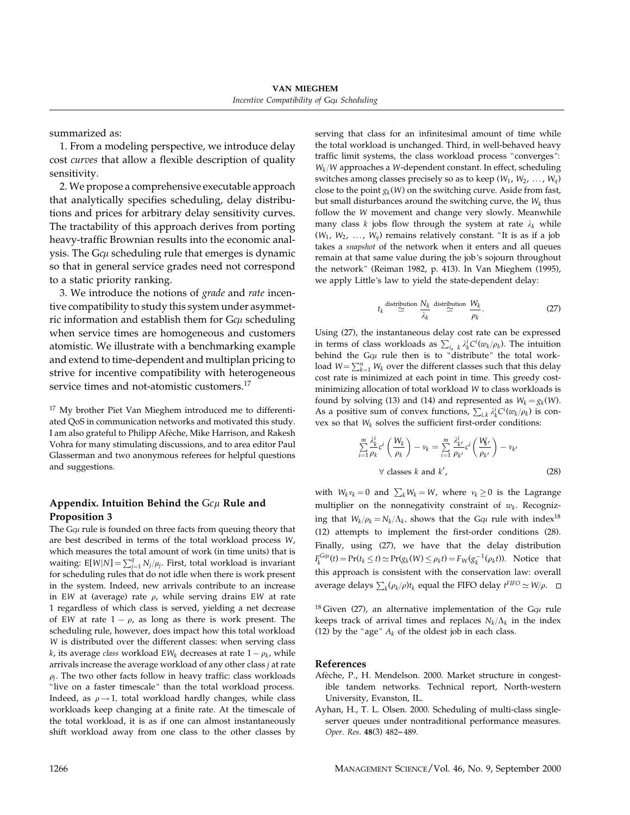summarized as:

1. From a modeling perspective, we introduce delay cost curves that allow a flexible description of quality sensitivity.

2. We propose a comprehensive executable approach that analytically specifies scheduling, delay distributions and prices for arbitrary delay sensitivity curves. The tractability of this approach derives from porting heavy-traffic Brownian results into the economic analysis. The G $c\mu$  scheduling rule that emerges is dynamic so that in general service grades need not correspond to a static priority ranking.

3. We introduce the notions of grade and rate incentive compatibility to study this system under asymmetric information and establish them for G $c\mu$  scheduling when service times are homogeneous and customers atomistic. We illustrate with a benchmarking example and extend to time-dependent and multiplan pricing to strive for incentive compatibility with heterogeneous service times and not-atomistic customers.<sup>17</sup>

<sup>17</sup> My brother Piet Van Mieghem introduced me to differentiated QoS in communication networks and motivated this study. I am also grateful to Philipp Afèche, Mike Harrison, and Rakesh Vohra for many stimulating discussions, and to area editor Paul Glasserman and two anonymous referees for helpful questions and suggestions.

#### Appendix. Intuition Behind the  $Gc\mu$  Rule and Proposition 3

The G $\epsilon$ µ rule is founded on three facts from queuing theory that are best described in terms of the total workload process W, which measures the total amount of work (in time units) that is waiting: E[W|N] =  $\sum_{j=1}^{q} N_j/\mu_j$ . First, total workload is invariant for scheduling rules that do not idle when there is work present in the system. Indeed, new arrivals contribute to an increase in EW at (average) rate  $\rho$ , while serving drains EW at rate 1 regardless of which class is served, yielding a net decrease of EW at rate  $1 - \rho$ , as long as there is work present. The scheduling rule, however, does impact how this total workload W is distributed over the different classes: when serving class k, its average class workload EW<sub>k</sub> decreases at rate  $1 - \rho_k$ , while arrivals increase the average workload of any other class j at rate  $\rho_i$ . The two other facts follow in heavy traffic: class workloads "live on a faster timescale" than the total workload process. Indeed, as  $\rho \rightarrow 1$ , total workload hardly changes, while class workloads keep changing at a finite rate. At the timescale of the total workload, it is as if one can almost instantaneously shift workload away from one class to the other classes by serving that class for an infinitesimal amount of time while the total workload is unchanged. Third, in well-behaved heavy traffic limit systems, the class workload process "converges":  $W_k/W$  approaches a W-dependent constant. In effect, scheduling switches among classes precisely so as to keep  $(W_1, W_2, ..., W_d)$ close to the point  $g_k(W)$  on the switching curve. Aside from fast, but small disturbances around the switching curve, the  $W_k$  thus follow the W movement and change very slowly. Meanwhile many class k jobs flow through the system at rate  $\lambda_k$  while  $(W_1, W_2, \ldots, W_q)$  remains relatively constant. "It is as if a job takes a snapshot of the network when it enters and all queues remain at that same value during the job's sojourn throughout the network" (Reiman 1982, p. 413). In Van Mieghem (1995), we apply Little's law to yield the state-dependent delay:

$$
t_k \stackrel{\text{distribution}}{\simeq} \frac{N_k}{\lambda_k} \stackrel{\text{distribution}}{\simeq} \frac{W_k}{\rho_k}.
$$
 (27)

Using (27), the instantaneous delay cost rate can be expressed in terms of class workloads as  $\sum_{i} k_k \lambda_k^i C^i(w_k/\rho_k)$ . The intuition behind the G $\omega$  rule then is to "distribute" the total workload  $W = \sum_{k=1}^{n} W_k$  over the different classes such that this delay cost rate is minimized at each point in time. This greedy costminimizing allocation of total workload W to class workloads is found by solving (13) and (14) and represented as  $W_k = g_k(W)$ . As a positive sum of convex functions,  $\sum_{i,k} \lambda_k^i C^i(w_k/\rho_k)$  is convex so that  $W_k$  solves the sufficient first-order conditions:

$$
\sum_{i=1}^{m} \frac{\lambda_k^i}{\rho_k} c^i \left( \frac{W_k}{\rho_k} \right) - v_k = \sum_{i=1}^{m} \frac{\lambda_k^i}{\rho_{k'}} c^i \left( \frac{W_k}{\rho_{k'}} \right) - v_{k'}
$$
\n
$$
\forall \text{ classes } k \text{ and } k', \qquad (28)
$$

with  $W_k v_k = 0$  and  $\sum_k W_k = W$ , where  $v_k \ge 0$  is the Lagrange multiplier on the nonnegativity constraint of  $w_k$ . Recognizing that  $W_k/\rho_k = N_k/\Lambda_k$ , shows that the G $c\mu$  rule with index<sup>18</sup> (12) attempts to implement the first-order conditions (28). Finally, using (27), we have that the delay distribution  $F_k^{Gqu}(t) = Pr(t_k \le t) \simeq Pr(g_k(W) \le \rho_k t) = F_W(g_k^{-1}(\rho_k t)).$  Notice that this approach is consistent with the conservation law: overall average delays  $\sum_k (\rho_k / \rho) t_k$  equal the FIFO delay  $t^{\text{FIFO}} \simeq W/\rho$ .

<sup>18</sup> Given (27), an alternative implementation of the G $\varphi$  rule keeps track of arrival times and replaces  $N_k/\Lambda_k$  in the index (12) by the "age"  $A_k$  of the oldest job in each class.

#### References

- Afèche, P., H. Mendelson. 2000. Market structure in congestible tandem networks. Technical report, North-western University, Evanston, IL.
- Ayhan, H., T. L. Olsen. 2000. Scheduling of multi-class singleserver queues under nontraditional performance measures. Oper. Res. 48(3) 482-489.